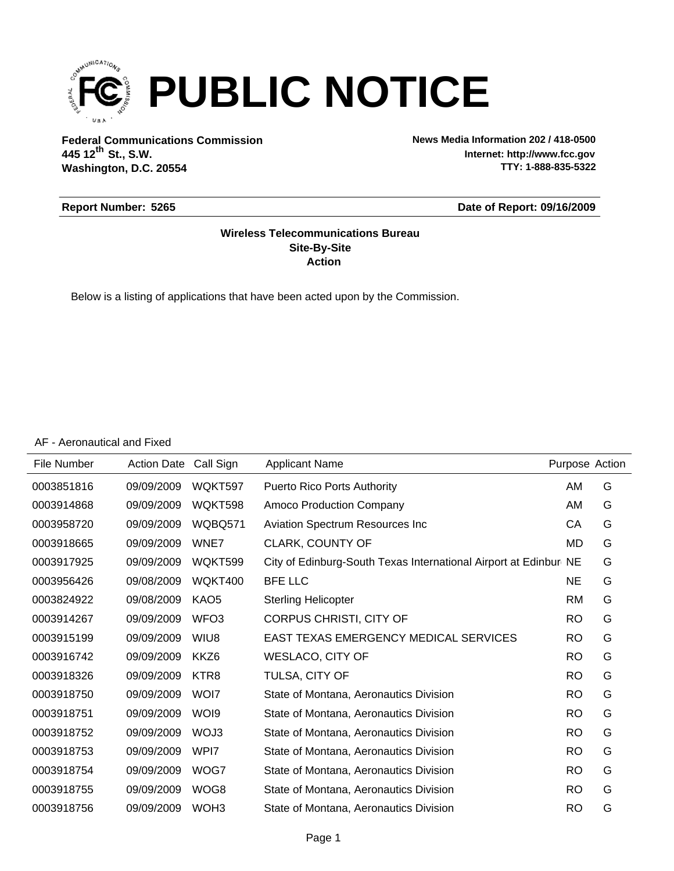

**Federal Communications Commission News Media Information 202 / 418-0500 Washington, D.C. 20554 th 445 12 St., S.W.**

**Internet: http://www.fcc.gov TTY: 1-888-835-5322**

#### **Report Number: 5265**

#### **Date of Report: 09/16/2009**

#### **Action Site-By-Site Wireless Telecommunications Bureau**

Below is a listing of applications that have been acted upon by the Commission.

#### AF - Aeronautical and Fixed

| File Number | <b>Action Date</b> | Call Sign        | <b>Applicant Name</b>                                            | Purpose Action |   |
|-------------|--------------------|------------------|------------------------------------------------------------------|----------------|---|
| 0003851816  | 09/09/2009         | WQKT597          | <b>Puerto Rico Ports Authority</b>                               | AM             | G |
| 0003914868  | 09/09/2009         | WQKT598          | Amoco Production Company                                         | AM             | G |
| 0003958720  | 09/09/2009         | WQBQ571          | Aviation Spectrum Resources Inc                                  | СA             | G |
| 0003918665  | 09/09/2009         | WNE7             | CLARK, COUNTY OF                                                 | MD             | G |
| 0003917925  | 09/09/2009         | WQKT599          | City of Edinburg-South Texas International Airport at Edinbur NE |                | G |
| 0003956426  | 09/08/2009         | WQKT400          | <b>BFE LLC</b>                                                   | NE             | G |
| 0003824922  | 09/08/2009         | KAO <sub>5</sub> | <b>Sterling Helicopter</b>                                       | <b>RM</b>      | G |
| 0003914267  | 09/09/2009         | WFO <sub>3</sub> | CORPUS CHRISTI, CITY OF                                          | <b>RO</b>      | G |
| 0003915199  | 09/09/2009         | WIU8             | <b>EAST TEXAS EMERGENCY MEDICAL SERVICES</b>                     | <b>RO</b>      | G |
| 0003916742  | 09/09/2009         | KKZ6             | <b>WESLACO, CITY OF</b>                                          | <b>RO</b>      | G |
| 0003918326  | 09/09/2009         | KTR8             | TULSA, CITY OF                                                   | <b>RO</b>      | G |
| 0003918750  | 09/09/2009         | WOI7             | State of Montana, Aeronautics Division                           | <b>RO</b>      | G |
| 0003918751  | 09/09/2009         | WOI <sub>9</sub> | State of Montana, Aeronautics Division                           | <b>RO</b>      | G |
| 0003918752  | 09/09/2009         | WOJ3             | State of Montana, Aeronautics Division                           | <b>RO</b>      | G |
| 0003918753  | 09/09/2009         | WPI7             | State of Montana, Aeronautics Division                           | <b>RO</b>      | G |
| 0003918754  | 09/09/2009         | WOG7             | State of Montana, Aeronautics Division                           | <b>RO</b>      | G |
| 0003918755  | 09/09/2009         | WOG8             | State of Montana, Aeronautics Division                           | <b>RO</b>      | G |
| 0003918756  | 09/09/2009         | WOH <sub>3</sub> | State of Montana, Aeronautics Division                           | <b>RO</b>      | G |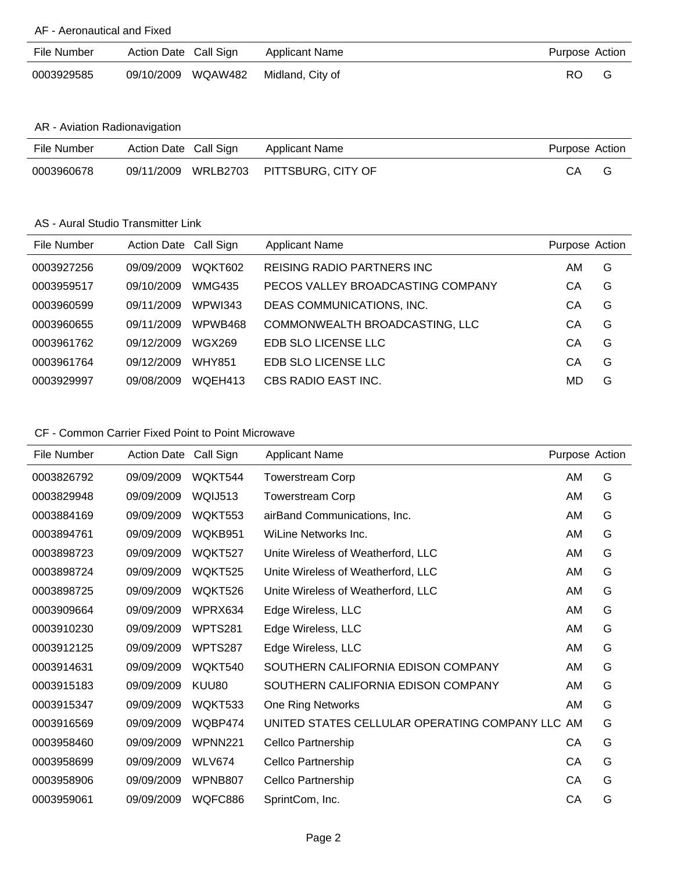#### AF - Aeronautical and Fixed

| File Number | Action Date Call Sign |                    | Applicant Name   | Purpose Action |  |
|-------------|-----------------------|--------------------|------------------|----------------|--|
| 0003929585  |                       | 09/10/2009 WQAW482 | Midland, City of | RO.            |  |

### AR - Aviation Radionavigation

| File Number | Action Date Call Sign | Applicant Name                         | Purpose Action |  |
|-------------|-----------------------|----------------------------------------|----------------|--|
| 0003960678  |                       | 09/11/2009 WRLB2703 PITTSBURG. CITY OF | CА             |  |

#### AS - Aural Studio Transmitter Link

| File Number | Action Date Call Sign |                | <b>Applicant Name</b>              | Purpose Action |   |
|-------------|-----------------------|----------------|------------------------------------|----------------|---|
| 0003927256  | 09/09/2009            | WOKT602        | <b>REISING RADIO PARTNERS INC.</b> | AM             | G |
| 0003959517  | 09/10/2009            | <b>WMG435</b>  | PECOS VALLEY BROADCASTING COMPANY  | CА             | G |
| 0003960599  | 09/11/2009            | <b>WPWI343</b> | DEAS COMMUNICATIONS, INC.          | CА             | G |
| 0003960655  | 09/11/2009            | WPWB468        | COMMONWEALTH BROADCASTING, LLC     | CА             | G |
| 0003961762  | 09/12/2009            | WGX269         | EDB SLO LICENSE LLC                | CА             | G |
| 0003961764  | 09/12/2009            | <b>WHY851</b>  | EDB SLO LICENSE LLC                | CА             | G |
| 0003929997  | 09/08/2009            | WOEH413        | CBS RADIO EAST INC.                | MD             | G |

# CF - Common Carrier Fixed Point to Point Microwave

| <b>File Number</b> | <b>Action Date</b> | Call Sign      | <b>Applicant Name</b>                           | Purpose Action |   |
|--------------------|--------------------|----------------|-------------------------------------------------|----------------|---|
| 0003826792         | 09/09/2009         | WQKT544        | <b>Towerstream Corp</b>                         | AM             | G |
| 0003829948         | 09/09/2009         | WQIJ513        | <b>Towerstream Corp</b>                         | AM             | G |
| 0003884169         | 09/09/2009         | WQKT553        | airBand Communications, Inc.                    | AM             | G |
| 0003894761         | 09/09/2009         | WQKB951        | WiLine Networks Inc.                            | AM             | G |
| 0003898723         | 09/09/2009         | WQKT527        | Unite Wireless of Weatherford, LLC              | AM             | G |
| 0003898724         | 09/09/2009         | WQKT525        | Unite Wireless of Weatherford, LLC              | AM             | G |
| 0003898725         | 09/09/2009         | WQKT526        | Unite Wireless of Weatherford, LLC              | AM             | G |
| 0003909664         | 09/09/2009         | WPRX634        | Edge Wireless, LLC                              | AM             | G |
| 0003910230         | 09/09/2009         | WPTS281        | Edge Wireless, LLC                              | AM             | G |
| 0003912125         | 09/09/2009         | WPTS287        | Edge Wireless, LLC                              | AM             | G |
| 0003914631         | 09/09/2009         | WQKT540        | SOUTHERN CALIFORNIA EDISON COMPANY              | AM             | G |
| 0003915183         | 09/09/2009         | KUU80          | SOUTHERN CALIFORNIA EDISON COMPANY              | AM             | G |
| 0003915347         | 09/09/2009         | WQKT533        | One Ring Networks                               | AM             | G |
| 0003916569         | 09/09/2009         | WQBP474        | UNITED STATES CELLULAR OPERATING COMPANY LLC AM |                | G |
| 0003958460         | 09/09/2009         | <b>WPNN221</b> | Cellco Partnership                              | СA             | G |
| 0003958699         | 09/09/2009         | <b>WLV674</b>  | Cellco Partnership                              | СA             | G |
| 0003958906         | 09/09/2009         | WPNB807        | Cellco Partnership                              | CA             | G |
| 0003959061         | 09/09/2009         | WQFC886        | SprintCom, Inc.                                 | CА             | G |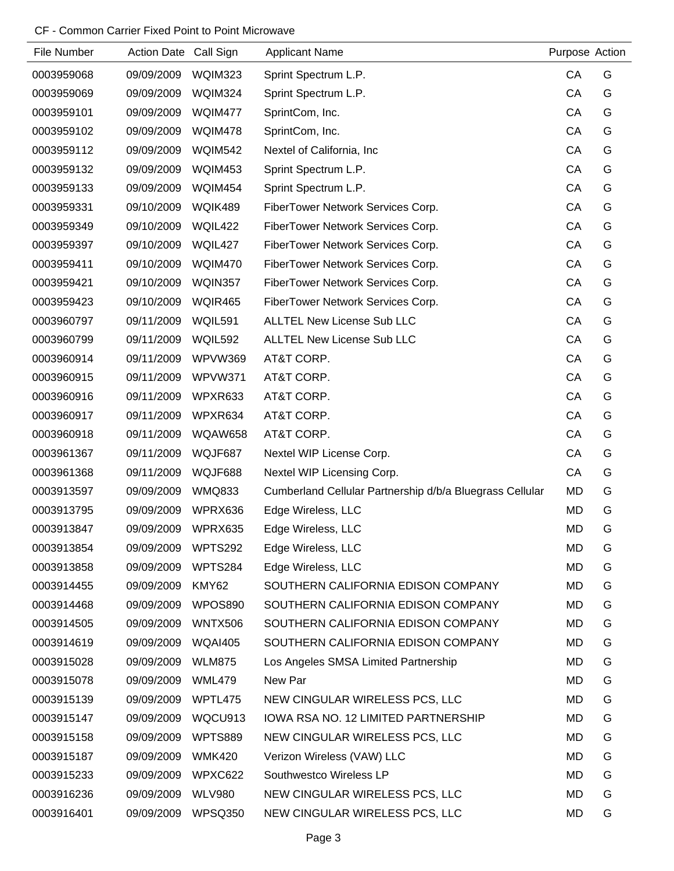#### CF - Common Carrier Fixed Point to Point Microwave

| File Number | Action Date Call Sign |                | <b>Applicant Name</b>                                    | Purpose Action |   |
|-------------|-----------------------|----------------|----------------------------------------------------------|----------------|---|
| 0003959068  | 09/09/2009            | WQIM323        | Sprint Spectrum L.P.                                     | CA             | G |
| 0003959069  | 09/09/2009            | WQIM324        | Sprint Spectrum L.P.                                     | CA             | G |
| 0003959101  | 09/09/2009            | WQIM477        | SprintCom, Inc.                                          | CA             | G |
| 0003959102  | 09/09/2009            | WQIM478        | SprintCom, Inc.                                          | CA             | G |
| 0003959112  | 09/09/2009            | <b>WQIM542</b> | Nextel of California, Inc.                               | CA             | G |
| 0003959132  | 09/09/2009            | <b>WQIM453</b> | Sprint Spectrum L.P.                                     | CA             | G |
| 0003959133  | 09/09/2009            | WQIM454        | Sprint Spectrum L.P.                                     | CA             | G |
| 0003959331  | 09/10/2009            | WQIK489        | FiberTower Network Services Corp.                        | CA             | G |
| 0003959349  | 09/10/2009            | WQIL422        | FiberTower Network Services Corp.                        | CA             | G |
| 0003959397  | 09/10/2009            | WQIL427        | FiberTower Network Services Corp.                        | CA             | G |
| 0003959411  | 09/10/2009            | WQIM470        | FiberTower Network Services Corp.                        | CA             | G |
| 0003959421  | 09/10/2009            | WQIN357        | FiberTower Network Services Corp.                        | CA             | G |
| 0003959423  | 09/10/2009            | <b>WQIR465</b> | FiberTower Network Services Corp.                        | CA             | G |
| 0003960797  | 09/11/2009            | WQIL591        | <b>ALLTEL New License Sub LLC</b>                        | CA             | G |
| 0003960799  | 09/11/2009            | <b>WQIL592</b> | <b>ALLTEL New License Sub LLC</b>                        | CA             | G |
| 0003960914  | 09/11/2009            | WPVW369        | AT&T CORP.                                               | CA             | G |
| 0003960915  | 09/11/2009            | WPVW371        | AT&T CORP.                                               | CA             | G |
| 0003960916  | 09/11/2009            | WPXR633        | AT&T CORP.                                               | CA             | G |
| 0003960917  | 09/11/2009            | WPXR634        | AT&T CORP.                                               | CA             | G |
| 0003960918  | 09/11/2009            | <b>WQAW658</b> | AT&T CORP.                                               | CA             | G |
| 0003961367  | 09/11/2009            | WQJF687        | Nextel WIP License Corp.                                 | CA             | G |
| 0003961368  | 09/11/2009            | WQJF688        | Nextel WIP Licensing Corp.                               | CA             | G |
| 0003913597  | 09/09/2009            | <b>WMQ833</b>  | Cumberland Cellular Partnership d/b/a Bluegrass Cellular | <b>MD</b>      | G |
| 0003913795  | 09/09/2009            | WPRX636        | Edge Wireless, LLC                                       | <b>MD</b>      | G |
| 0003913847  | 09/09/2009            | WPRX635        | Edge Wireless, LLC                                       | <b>MD</b>      | G |
| 0003913854  | 09/09/2009            | WPTS292        | Edge Wireless, LLC                                       | <b>MD</b>      | G |
| 0003913858  | 09/09/2009            | WPTS284        | Edge Wireless, LLC                                       | MD             | G |
| 0003914455  | 09/09/2009            | KMY62          | SOUTHERN CALIFORNIA EDISON COMPANY                       | MD             | G |
| 0003914468  | 09/09/2009            | WPOS890        | SOUTHERN CALIFORNIA EDISON COMPANY                       | MD             | G |
| 0003914505  | 09/09/2009            | WNTX506        | SOUTHERN CALIFORNIA EDISON COMPANY                       | MD             | G |
| 0003914619  | 09/09/2009            | <b>WQAI405</b> | SOUTHERN CALIFORNIA EDISON COMPANY                       | <b>MD</b>      | G |
| 0003915028  | 09/09/2009            | <b>WLM875</b>  | Los Angeles SMSA Limited Partnership                     | MD             | G |
| 0003915078  | 09/09/2009            | WML479         | New Par                                                  | MD             | G |
| 0003915139  | 09/09/2009            | WPTL475        | NEW CINGULAR WIRELESS PCS, LLC                           | MD             | G |
| 0003915147  | 09/09/2009            | WQCU913        | IOWA RSA NO. 12 LIMITED PARTNERSHIP                      | <b>MD</b>      | G |
| 0003915158  | 09/09/2009            | WPTS889        | NEW CINGULAR WIRELESS PCS, LLC                           | MD             | G |
| 0003915187  | 09/09/2009            | <b>WMK420</b>  | Verizon Wireless (VAW) LLC                               | MD             | G |
| 0003915233  | 09/09/2009            | WPXC622        | Southwestco Wireless LP                                  | <b>MD</b>      | G |
| 0003916236  | 09/09/2009            | <b>WLV980</b>  | NEW CINGULAR WIRELESS PCS, LLC                           | MD             | G |
| 0003916401  | 09/09/2009            | WPSQ350        | NEW CINGULAR WIRELESS PCS, LLC                           | MD             | G |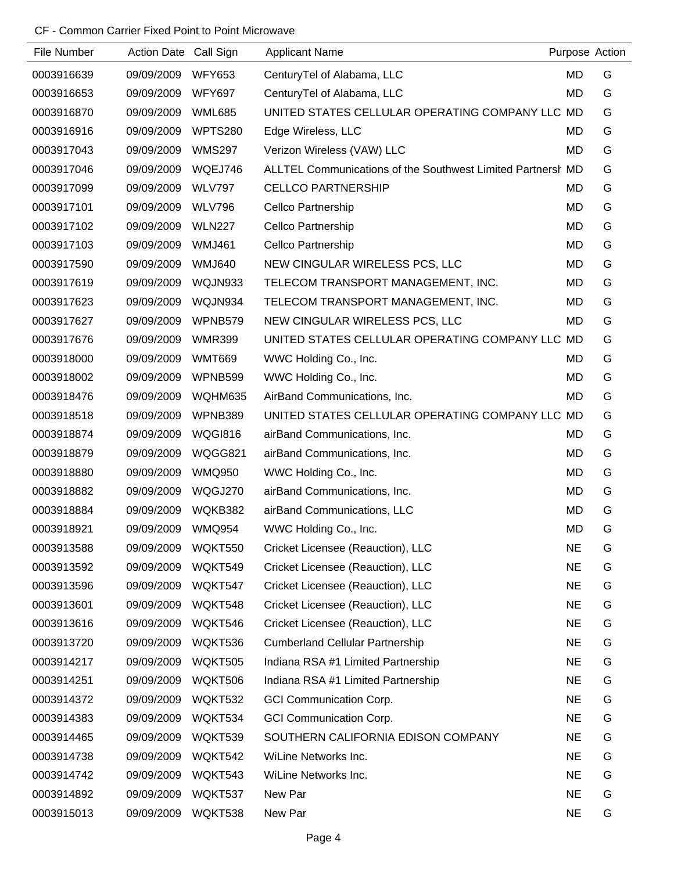#### CF - Common Carrier Fixed Point to Point Microwave

| File Number | Action Date Call Sign |                | <b>Applicant Name</b>                                       |           | Purpose Action |
|-------------|-----------------------|----------------|-------------------------------------------------------------|-----------|----------------|
| 0003916639  | 09/09/2009            | <b>WFY653</b>  | Century Tel of Alabama, LLC                                 | MD        | G              |
| 0003916653  | 09/09/2009            | <b>WFY697</b>  | Century Tel of Alabama, LLC                                 | MD        | G              |
| 0003916870  | 09/09/2009            | <b>WML685</b>  | UNITED STATES CELLULAR OPERATING COMPANY LLC MD             |           | G              |
| 0003916916  | 09/09/2009            | <b>WPTS280</b> | Edge Wireless, LLC                                          | MD        | G              |
| 0003917043  | 09/09/2009            | <b>WMS297</b>  | Verizon Wireless (VAW) LLC                                  | MD        | G              |
| 0003917046  | 09/09/2009            | WQEJ746        | ALLTEL Communications of the Southwest Limited Partnersh MD |           | G              |
| 0003917099  | 09/09/2009            | <b>WLV797</b>  | <b>CELLCO PARTNERSHIP</b>                                   | MD        | G              |
| 0003917101  | 09/09/2009            | <b>WLV796</b>  | Cellco Partnership                                          | MD        | G              |
| 0003917102  | 09/09/2009            | <b>WLN227</b>  | Cellco Partnership                                          | MD        | G              |
| 0003917103  | 09/09/2009            | <b>WMJ461</b>  | <b>Cellco Partnership</b>                                   | MD        | G              |
| 0003917590  | 09/09/2009            | <b>WMJ640</b>  | NEW CINGULAR WIRELESS PCS, LLC                              | MD        | G              |
| 0003917619  | 09/09/2009            | WQJN933        | TELECOM TRANSPORT MANAGEMENT, INC.                          | MD        | G              |
| 0003917623  | 09/09/2009            | WQJN934        | TELECOM TRANSPORT MANAGEMENT, INC.                          | MD        | G              |
| 0003917627  | 09/09/2009            | WPNB579        | NEW CINGULAR WIRELESS PCS, LLC                              | MD        | G              |
| 0003917676  | 09/09/2009            | <b>WMR399</b>  | UNITED STATES CELLULAR OPERATING COMPANY LLC MD             |           | G              |
| 0003918000  | 09/09/2009            | <b>WMT669</b>  | WWC Holding Co., Inc.                                       | MD        | G              |
| 0003918002  | 09/09/2009            | WPNB599        | WWC Holding Co., Inc.                                       | MD        | G              |
| 0003918476  | 09/09/2009            | WQHM635        | AirBand Communications, Inc.                                | MD        | G              |
| 0003918518  | 09/09/2009            | WPNB389        | UNITED STATES CELLULAR OPERATING COMPANY LLC MD             |           | G              |
| 0003918874  | 09/09/2009            | WQGI816        | airBand Communications, Inc.                                | MD        | G              |
| 0003918879  | 09/09/2009            | WQGG821        | airBand Communications, Inc.                                | MD        | G              |
| 0003918880  | 09/09/2009            | <b>WMQ950</b>  | WWC Holding Co., Inc.                                       | MD        | G              |
| 0003918882  | 09/09/2009            | WQGJ270        | airBand Communications, Inc.                                | MD        | G              |
| 0003918884  | 09/09/2009            | WQKB382        | airBand Communications, LLC                                 | <b>MD</b> | G              |
| 0003918921  | 09/09/2009            | <b>WMQ954</b>  | WWC Holding Co., Inc.                                       | <b>MD</b> | G              |
| 0003913588  | 09/09/2009            | WQKT550        | Cricket Licensee (Reauction), LLC                           | <b>NE</b> | G              |
| 0003913592  | 09/09/2009            | WQKT549        | Cricket Licensee (Reauction), LLC                           | <b>NE</b> | G              |
| 0003913596  | 09/09/2009            | WQKT547        | Cricket Licensee (Reauction), LLC                           | <b>NE</b> | G              |
| 0003913601  | 09/09/2009            | WQKT548        | Cricket Licensee (Reauction), LLC                           | <b>NE</b> | G              |
| 0003913616  | 09/09/2009            | WQKT546        | Cricket Licensee (Reauction), LLC                           | <b>NE</b> | G              |
| 0003913720  | 09/09/2009            | WQKT536        | <b>Cumberland Cellular Partnership</b>                      | <b>NE</b> | G              |
| 0003914217  | 09/09/2009            | WQKT505        | Indiana RSA #1 Limited Partnership                          | <b>NE</b> | G              |
| 0003914251  | 09/09/2009            | WQKT506        | Indiana RSA #1 Limited Partnership                          | <b>NE</b> | G              |
| 0003914372  | 09/09/2009            | WQKT532        | <b>GCI Communication Corp.</b>                              | <b>NE</b> | G              |
| 0003914383  | 09/09/2009            | WQKT534        | <b>GCI Communication Corp.</b>                              | <b>NE</b> | G              |
| 0003914465  | 09/09/2009            | WQKT539        | SOUTHERN CALIFORNIA EDISON COMPANY                          | <b>NE</b> | G              |
| 0003914738  | 09/09/2009            | WQKT542        | WiLine Networks Inc.                                        | <b>NE</b> | G              |
| 0003914742  | 09/09/2009            | WQKT543        | WiLine Networks Inc.                                        | <b>NE</b> | G              |
| 0003914892  | 09/09/2009            | WQKT537        | New Par                                                     | <b>NE</b> | G              |
| 0003915013  | 09/09/2009            | WQKT538        | New Par                                                     | <b>NE</b> | G              |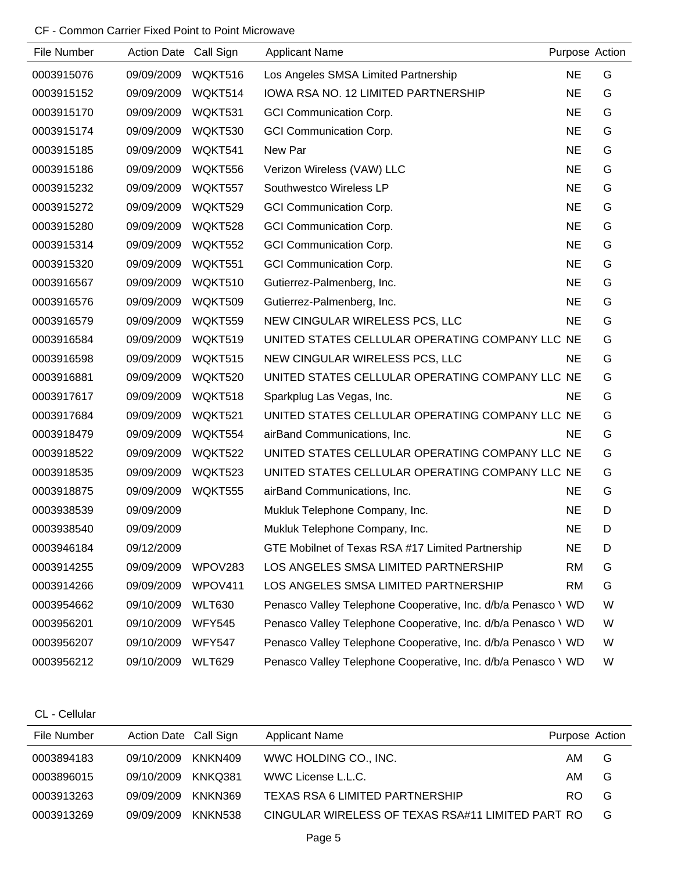### CF - Common Carrier Fixed Point to Point Microwave

| File Number | Action Date Call Sign |                | <b>Applicant Name</b>                                         |           | Purpose Action |
|-------------|-----------------------|----------------|---------------------------------------------------------------|-----------|----------------|
| 0003915076  | 09/09/2009            | WQKT516        | Los Angeles SMSA Limited Partnership                          | <b>NE</b> | G              |
| 0003915152  | 09/09/2009            | WQKT514        | IOWA RSA NO. 12 LIMITED PARTNERSHIP                           | <b>NE</b> | G              |
| 0003915170  | 09/09/2009            | WQKT531        | <b>GCI Communication Corp.</b>                                | <b>NE</b> | G              |
| 0003915174  | 09/09/2009            | WQKT530        | <b>GCI Communication Corp.</b>                                | <b>NE</b> | G              |
| 0003915185  | 09/09/2009            | WQKT541        | New Par                                                       | <b>NE</b> | G              |
| 0003915186  | 09/09/2009            | WQKT556        | Verizon Wireless (VAW) LLC                                    | <b>NE</b> | G              |
| 0003915232  | 09/09/2009            | WQKT557        | Southwestco Wireless LP                                       | <b>NE</b> | G              |
| 0003915272  | 09/09/2009            | WQKT529        | <b>GCI Communication Corp.</b>                                | <b>NE</b> | G              |
| 0003915280  | 09/09/2009            | WQKT528        | <b>GCI Communication Corp.</b>                                | <b>NE</b> | G              |
| 0003915314  | 09/09/2009            | WQKT552        | <b>GCI Communication Corp.</b>                                | <b>NE</b> | G              |
| 0003915320  | 09/09/2009            | WQKT551        | <b>GCI Communication Corp.</b>                                | <b>NE</b> | G              |
| 0003916567  | 09/09/2009            | WQKT510        | Gutierrez-Palmenberg, Inc.                                    | <b>NE</b> | G              |
| 0003916576  | 09/09/2009            | WQKT509        | Gutierrez-Palmenberg, Inc.                                    | <b>NE</b> | G              |
| 0003916579  | 09/09/2009            | WQKT559        | NEW CINGULAR WIRELESS PCS, LLC                                | <b>NE</b> | G              |
| 0003916584  | 09/09/2009            | WQKT519        | UNITED STATES CELLULAR OPERATING COMPANY LLC NE               |           | G              |
| 0003916598  | 09/09/2009            | WQKT515        | NEW CINGULAR WIRELESS PCS, LLC                                | <b>NE</b> | G              |
| 0003916881  | 09/09/2009            | WQKT520        | UNITED STATES CELLULAR OPERATING COMPANY LLC NE               |           | G              |
| 0003917617  | 09/09/2009            | WQKT518        | Sparkplug Las Vegas, Inc.                                     | <b>NE</b> | G              |
| 0003917684  | 09/09/2009            | WQKT521        | UNITED STATES CELLULAR OPERATING COMPANY LLC NE               |           | G              |
| 0003918479  | 09/09/2009            | WQKT554        | airBand Communications, Inc.                                  | <b>NE</b> | G              |
| 0003918522  | 09/09/2009            | WQKT522        | UNITED STATES CELLULAR OPERATING COMPANY LLC NE               |           | G              |
| 0003918535  | 09/09/2009            | WQKT523        | UNITED STATES CELLULAR OPERATING COMPANY LLC NE               |           | G              |
| 0003918875  | 09/09/2009            | <b>WQKT555</b> | airBand Communications, Inc.                                  | <b>NE</b> | G              |
| 0003938539  | 09/09/2009            |                | Mukluk Telephone Company, Inc.                                | <b>NE</b> | D              |
| 0003938540  | 09/09/2009            |                | Mukluk Telephone Company, Inc.                                | <b>NE</b> | D              |
| 0003946184  | 09/12/2009            |                | GTE Mobilnet of Texas RSA #17 Limited Partnership             | <b>NE</b> | D              |
| 0003914255  | 09/09/2009            | WPOV283        | LOS ANGELES SMSA LIMITED PARTNERSHIP                          | <b>RM</b> | G              |
| 0003914266  | 09/09/2009            | WPOV411        | LOS ANGELES SMSA LIMITED PARTNERSHIP                          | <b>RM</b> | G              |
| 0003954662  | 09/10/2009            | <b>WLT630</b>  | Penasco Valley Telephone Cooperative, Inc. d/b/a Penasco \ WD |           | W              |
| 0003956201  | 09/10/2009            | <b>WFY545</b>  | Penasco Valley Telephone Cooperative, Inc. d/b/a Penasco \ WD |           | W              |
| 0003956207  | 09/10/2009            | <b>WFY547</b>  | Penasco Valley Telephone Cooperative, Inc. d/b/a Penasco \ WD |           | W              |
| 0003956212  | 09/10/2009            | <b>WLT629</b>  | Penasco Valley Telephone Cooperative, Inc. d/b/a Penasco \ WD |           | W              |

CL - Cellular

| File Number | Action Date Call Sign |         | <b>Applicant Name</b>                             | Purpose Action |   |
|-------------|-----------------------|---------|---------------------------------------------------|----------------|---|
| 0003894183  | 09/10/2009            | KNKN409 | WWC HOLDING CO., INC.                             | AM             | G |
| 0003896015  | 09/10/2009            | KNKO381 | WWC License L.L.C.                                | AM             | G |
| 0003913263  | 09/09/2009            | KNKN369 | TEXAS RSA 6 LIMITED PARTNERSHIP                   | RO.            | G |
| 0003913269  | 09/09/2009            | KNKN538 | CINGULAR WIRELESS OF TEXAS RSA#11 LIMITED PART RO |                | G |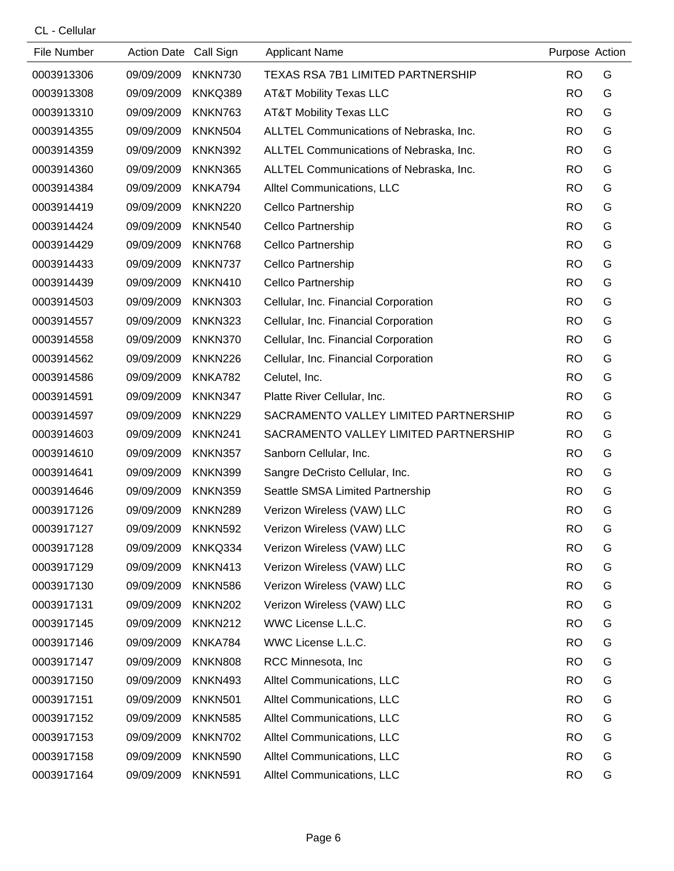CL - Cellular

| File Number | Action Date Call Sign |                | <b>Applicant Name</b>                   | Purpose Action |   |
|-------------|-----------------------|----------------|-----------------------------------------|----------------|---|
| 0003913306  | 09/09/2009            | KNKN730        | TEXAS RSA 7B1 LIMITED PARTNERSHIP       | <b>RO</b>      | G |
| 0003913308  | 09/09/2009            | KNKQ389        | <b>AT&amp;T Mobility Texas LLC</b>      | <b>RO</b>      | G |
| 0003913310  | 09/09/2009            | KNKN763        | <b>AT&amp;T Mobility Texas LLC</b>      | <b>RO</b>      | G |
| 0003914355  | 09/09/2009            | <b>KNKN504</b> | ALLTEL Communications of Nebraska, Inc. | <b>RO</b>      | G |
| 0003914359  | 09/09/2009            | <b>KNKN392</b> | ALLTEL Communications of Nebraska, Inc. | <b>RO</b>      | G |
| 0003914360  | 09/09/2009            | KNKN365        | ALLTEL Communications of Nebraska, Inc. | <b>RO</b>      | G |
| 0003914384  | 09/09/2009            | KNKA794        | Alltel Communications, LLC              | <b>RO</b>      | G |
| 0003914419  | 09/09/2009            | <b>KNKN220</b> | Cellco Partnership                      | <b>RO</b>      | G |
| 0003914424  | 09/09/2009            | <b>KNKN540</b> | Cellco Partnership                      | <b>RO</b>      | G |
| 0003914429  | 09/09/2009            | KNKN768        | Cellco Partnership                      | <b>RO</b>      | G |
| 0003914433  | 09/09/2009            | KNKN737        | Cellco Partnership                      | <b>RO</b>      | G |
| 0003914439  | 09/09/2009            | KNKN410        | Cellco Partnership                      | <b>RO</b>      | G |
| 0003914503  | 09/09/2009            | <b>KNKN303</b> | Cellular, Inc. Financial Corporation    | <b>RO</b>      | G |
| 0003914557  | 09/09/2009            | <b>KNKN323</b> | Cellular, Inc. Financial Corporation    | <b>RO</b>      | G |
| 0003914558  | 09/09/2009            | KNKN370        | Cellular, Inc. Financial Corporation    | <b>RO</b>      | G |
| 0003914562  | 09/09/2009            | KNKN226        | Cellular, Inc. Financial Corporation    | <b>RO</b>      | G |
| 0003914586  | 09/09/2009            | KNKA782        | Celutel, Inc.                           | <b>RO</b>      | G |
| 0003914591  | 09/09/2009            | KNKN347        | Platte River Cellular, Inc.             | <b>RO</b>      | G |
| 0003914597  | 09/09/2009            | KNKN229        | SACRAMENTO VALLEY LIMITED PARTNERSHIP   | <b>RO</b>      | G |
| 0003914603  | 09/09/2009            | KNKN241        | SACRAMENTO VALLEY LIMITED PARTNERSHIP   | <b>RO</b>      | G |
| 0003914610  | 09/09/2009            | KNKN357        | Sanborn Cellular, Inc.                  | <b>RO</b>      | G |
| 0003914641  | 09/09/2009            | KNKN399        | Sangre DeCristo Cellular, Inc.          | <b>RO</b>      | G |
| 0003914646  | 09/09/2009            | KNKN359        | Seattle SMSA Limited Partnership        | <b>RO</b>      | G |
| 0003917126  | 09/09/2009            | <b>KNKN289</b> | Verizon Wireless (VAW) LLC              | <b>RO</b>      | G |
| 0003917127  | 09/09/2009            | <b>KNKN592</b> | Verizon Wireless (VAW) LLC              | <b>RO</b>      | G |
| 0003917128  | 09/09/2009            | KNKQ334        | Verizon Wireless (VAW) LLC              | <b>RO</b>      | G |
| 0003917129  | 09/09/2009            | KNKN413        | Verizon Wireless (VAW) LLC              | <b>RO</b>      | G |
| 0003917130  | 09/09/2009            | <b>KNKN586</b> | Verizon Wireless (VAW) LLC              | <b>RO</b>      | G |
| 0003917131  | 09/09/2009            | <b>KNKN202</b> | Verizon Wireless (VAW) LLC              | <b>RO</b>      | G |
| 0003917145  | 09/09/2009            | KNKN212        | WWC License L.L.C.                      | <b>RO</b>      | G |
| 0003917146  | 09/09/2009            | KNKA784        | WWC License L.L.C.                      | <b>RO</b>      | G |
| 0003917147  | 09/09/2009            | <b>KNKN808</b> | RCC Minnesota, Inc.                     | <b>RO</b>      | G |
| 0003917150  | 09/09/2009            | <b>KNKN493</b> | Alltel Communications, LLC              | <b>RO</b>      | G |
| 0003917151  | 09/09/2009            | <b>KNKN501</b> | Alltel Communications, LLC              | <b>RO</b>      | G |
| 0003917152  | 09/09/2009            | <b>KNKN585</b> | Alltel Communications, LLC              | <b>RO</b>      | G |
| 0003917153  | 09/09/2009            | KNKN702        | Alltel Communications, LLC              | <b>RO</b>      | G |
| 0003917158  | 09/09/2009            | <b>KNKN590</b> | Alltel Communications, LLC              | <b>RO</b>      | G |
| 0003917164  | 09/09/2009            | <b>KNKN591</b> | Alltel Communications, LLC              | <b>RO</b>      | G |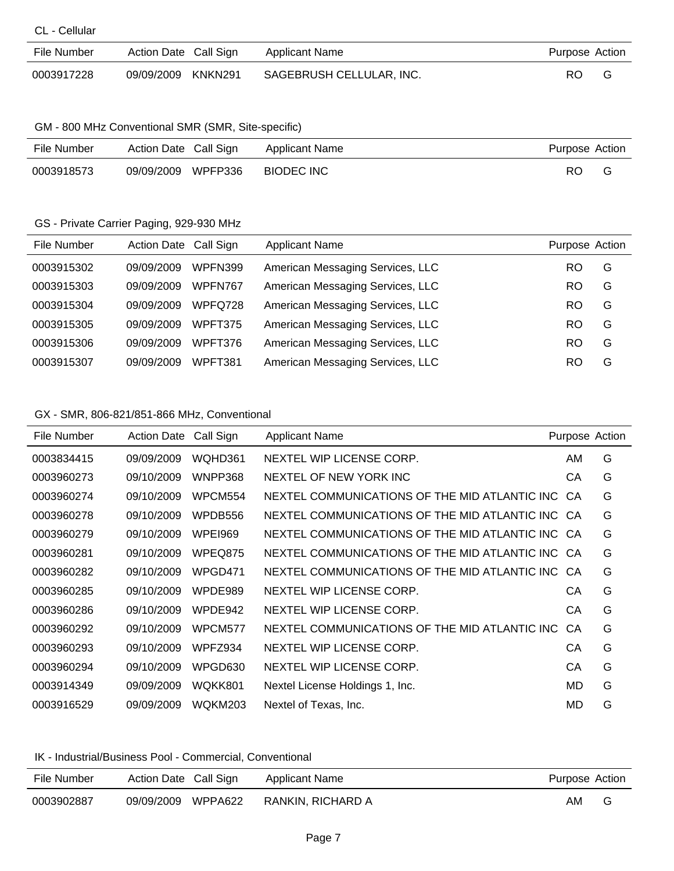|  |  |  | CL - Cellular |  |  |
|--|--|--|---------------|--|--|
|--|--|--|---------------|--|--|

| File Number | Action Date Call Sign | Applicant Name           | Purpose Action |
|-------------|-----------------------|--------------------------|----------------|
| 0003917228  | 09/09/2009 KNKN291    | SAGEBRUSH CELLULAR, INC. | RO.            |

#### GM - 800 MHz Conventional SMR (SMR, Site-specific)

| File Number | Action Date Call Sign |         | Applicant Name    | Purpose Action |  |
|-------------|-----------------------|---------|-------------------|----------------|--|
| 0003918573  | 09/09/2009            | WPFP336 | <b>BIODEC INC</b> | RC             |  |

#### GS - Private Carrier Paging, 929-930 MHz

| File Number | Action Date Call Sign |                | <b>Applicant Name</b>            | Purpose Action |   |
|-------------|-----------------------|----------------|----------------------------------|----------------|---|
| 0003915302  | 09/09/2009            | <b>WPFN399</b> | American Messaging Services, LLC | RO             | G |
| 0003915303  | 09/09/2009            | WPFN767        | American Messaging Services, LLC | RO             | G |
| 0003915304  | 09/09/2009            | WPFQ728        | American Messaging Services, LLC | RO             | G |
| 0003915305  | 09/09/2009            | WPFT375        | American Messaging Services, LLC | RO             | G |
| 0003915306  | 09/09/2009            | WPFT376        | American Messaging Services, LLC | RO             | G |
| 0003915307  | 09/09/2009            | WPFT381        | American Messaging Services, LLC | RO             | G |

### GX - SMR, 806-821/851-866 MHz, Conventional

| File Number | <b>Action Date</b> | Call Sign      | <b>Applicant Name</b>                            | Purpose Action |   |
|-------------|--------------------|----------------|--------------------------------------------------|----------------|---|
| 0003834415  | 09/09/2009         | WQHD361        | NEXTEL WIP LICENSE CORP.                         | AM             | G |
| 0003960273  | 09/10/2009         | WNPP368        | NEXTEL OF NEW YORK INC                           | СA             | G |
| 0003960274  | 09/10/2009         | WPCM554        | NEXTEL COMMUNICATIONS OF THE MID ATLANTIC INC    | CA.            | G |
| 0003960278  | 09/10/2009         | WPDB556        | NEXTEL COMMUNICATIONS OF THE MID ATLANTIC INC CA |                | G |
| 0003960279  | 09/10/2009         | <b>WPEI969</b> | NEXTEL COMMUNICATIONS OF THE MID ATLANTIC INC CA |                | G |
| 0003960281  | 09/10/2009         | WPEQ875        | NEXTEL COMMUNICATIONS OF THE MID ATLANTIC INC CA |                | G |
| 0003960282  | 09/10/2009         | WPGD471        | NEXTEL COMMUNICATIONS OF THE MID ATLANTIC INC CA |                | G |
| 0003960285  | 09/10/2009         | WPDE989        | NEXTEL WIP LICENSE CORP.                         | СA             | G |
| 0003960286  | 09/10/2009         | WPDE942        | NEXTEL WIP LICENSE CORP.                         | СA             | G |
| 0003960292  | 09/10/2009         | WPCM577        | NEXTEL COMMUNICATIONS OF THE MID ATLANTIC INC.   | CA             | G |
| 0003960293  | 09/10/2009         | WPFZ934        | NEXTEL WIP LICENSE CORP.                         | CА             | G |
| 0003960294  | 09/10/2009         | WPGD630        | NEXTEL WIP LICENSE CORP.                         | СA             | G |
| 0003914349  | 09/09/2009         | WQKK801        | Nextel License Holdings 1, Inc.                  | MD             | G |
| 0003916529  | 09/09/2009         | <b>WQKM203</b> | Nextel of Texas, Inc.                            | MD             | G |

#### IK - Industrial/Business Pool - Commercial, Conventional

| File Number | Action Date Call Sign | Applicant Name    | Purpose Action |   |
|-------------|-----------------------|-------------------|----------------|---|
| 0003902887  | WPPA622<br>09/09/2009 | RANKIN, RICHARD A | AM             | G |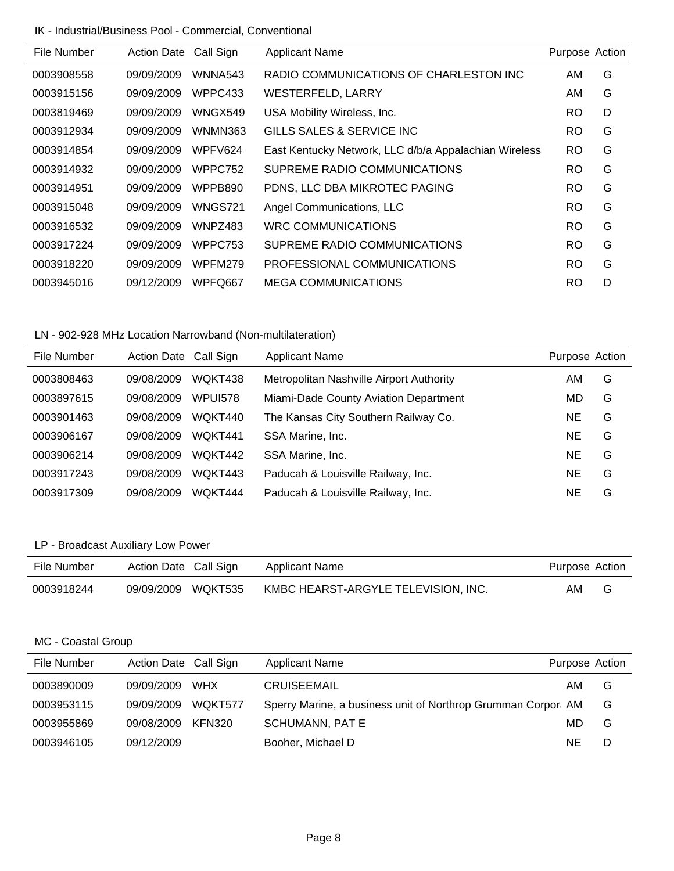#### IK - Industrial/Business Pool - Commercial, Conventional

| File Number | <b>Action Date</b> | Call Sign      | <b>Applicant Name</b>                                 | Purpose Action |   |
|-------------|--------------------|----------------|-------------------------------------------------------|----------------|---|
| 0003908558  | 09/09/2009         | WNNA543        | RADIO COMMUNICATIONS OF CHARLESTON INC                | AM             | G |
| 0003915156  | 09/09/2009         | WPPC433        | WESTERFELD, LARRY                                     | AM.            | G |
| 0003819469  | 09/09/2009         | WNGX549        | USA Mobility Wireless, Inc.                           | RO             | D |
| 0003912934  | 09/09/2009         | WNMN363        | GILLS SALES & SERVICE INC                             | RO             | G |
| 0003914854  | 09/09/2009         | WPFV624        | East Kentucky Network, LLC d/b/a Appalachian Wireless | RO             | G |
| 0003914932  | 09/09/2009         | WPPC752        | SUPREME RADIO COMMUNICATIONS                          | RO             | G |
| 0003914951  | 09/09/2009         | WPPB890        | PDNS, LLC DBA MIKROTEC PAGING                         | RO             | G |
| 0003915048  | 09/09/2009         | <b>WNGS721</b> | Angel Communications, LLC                             | RO             | G |
| 0003916532  | 09/09/2009         | WNPZ483        | WRC COMMUNICATIONS                                    | RO.            | G |
| 0003917224  | 09/09/2009         | WPPC753        | SUPREME RADIO COMMUNICATIONS                          | RO             | G |
| 0003918220  | 09/09/2009         | <b>WPFM279</b> | PROFESSIONAL COMMUNICATIONS                           | RO             | G |
| 0003945016  | 09/12/2009         | WPFQ667        | <b>MEGA COMMUNICATIONS</b>                            | RO             | D |
|             |                    |                |                                                       |                |   |

## LN - 902-928 MHz Location Narrowband (Non-multilateration)

| File Number | Action Date Call Sign |         | <b>Applicant Name</b>                    | Purpose Action |   |
|-------------|-----------------------|---------|------------------------------------------|----------------|---|
| 0003808463  | 09/08/2009            | WQKT438 | Metropolitan Nashville Airport Authority | AM             | G |
| 0003897615  | 09/08/2009            | WPUI578 | Miami-Dade County Aviation Department    | MD             | G |
| 0003901463  | 09/08/2009            | WQKT440 | The Kansas City Southern Railway Co.     | NE             | G |
| 0003906167  | 09/08/2009            | WQKT441 | SSA Marine, Inc.                         | <b>NE</b>      | G |
| 0003906214  | 09/08/2009            | WQKT442 | SSA Marine, Inc.                         | <b>NE</b>      | G |
| 0003917243  | 09/08/2009            | WQKT443 | Paducah & Louisville Railway, Inc.       | <b>NE</b>      | G |
| 0003917309  | 09/08/2009            | WQKT444 | Paducah & Louisville Railway, Inc.       | ΝE             | G |

## LP - Broadcast Auxiliary Low Power

| File Number | Action Date Call Sign | Applicant Name                      | Purpose Action |   |
|-------------|-----------------------|-------------------------------------|----------------|---|
| 0003918244  | 09/09/2009 WQKT535    | KMBC HEARST-ARGYLE TELEVISION, INC. | AM             | G |

### MC - Coastal Group

| File Number | Action Date Call Sign |     | <b>Applicant Name</b>                                         | Purpose Action |   |
|-------------|-----------------------|-----|---------------------------------------------------------------|----------------|---|
| 0003890009  | 09/09/2009            | WHX | <b>CRUISEEMAIL</b>                                            | AM             | G |
| 0003953115  | 09/09/2009 WQKT577    |     | Sperry Marine, a business unit of Northrop Grumman Corpor: AM |                | G |
| 0003955869  | 09/08/2009 KFN320     |     | <b>SCHUMANN, PAT E</b>                                        | MD.            | G |
| 0003946105  | 09/12/2009            |     | Booher, Michael D                                             | NE.            | D |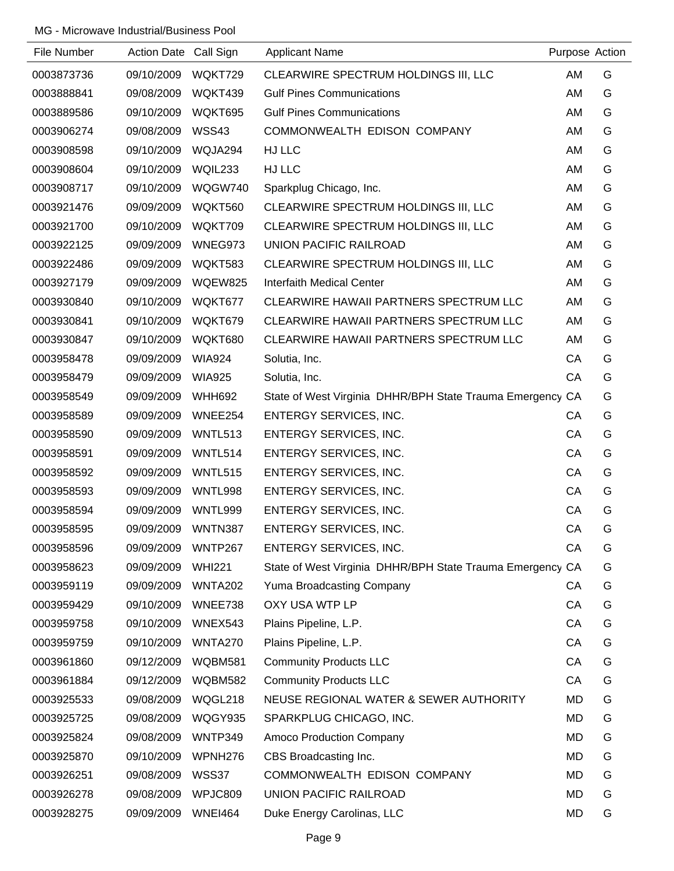| File Number | Action Date Call Sign |                     | <b>Applicant Name</b>                                     | Purpose Action |   |
|-------------|-----------------------|---------------------|-----------------------------------------------------------|----------------|---|
| 0003873736  | 09/10/2009            | WQKT729             | CLEARWIRE SPECTRUM HOLDINGS III, LLC                      | AM             | G |
| 0003888841  | 09/08/2009            | WQKT439             | <b>Gulf Pines Communications</b>                          | AM             | G |
| 0003889586  | 09/10/2009            | WQKT695             | <b>Gulf Pines Communications</b>                          | AM             | G |
| 0003906274  | 09/08/2009            | WSS43               | COMMONWEALTH EDISON COMPANY                               | AM             | G |
| 0003908598  | 09/10/2009            | WQJA294             | HJ LLC                                                    | AM             | G |
| 0003908604  | 09/10/2009            | WQIL233             | HJ LLC                                                    | AM             | G |
| 0003908717  | 09/10/2009            | WQGW740             | Sparkplug Chicago, Inc.                                   | AM             | G |
| 0003921476  | 09/09/2009            | WQKT560             | CLEARWIRE SPECTRUM HOLDINGS III, LLC                      | AM             | G |
| 0003921700  | 09/10/2009            | WQKT709             | CLEARWIRE SPECTRUM HOLDINGS III, LLC                      | AM             | G |
| 0003922125  | 09/09/2009            | WNEG973             | <b>UNION PACIFIC RAILROAD</b>                             | AM             | G |
| 0003922486  | 09/09/2009            | WQKT583             | CLEARWIRE SPECTRUM HOLDINGS III, LLC                      | AM             | G |
| 0003927179  | 09/09/2009            | WQEW825             | Interfaith Medical Center                                 | AM             | G |
| 0003930840  | 09/10/2009            | WQKT677             | CLEARWIRE HAWAII PARTNERS SPECTRUM LLC                    | AM             | G |
| 0003930841  | 09/10/2009            | WQKT679             | CLEARWIRE HAWAII PARTNERS SPECTRUM LLC                    | AM             | G |
| 0003930847  | 09/10/2009            | WQKT680             | CLEARWIRE HAWAII PARTNERS SPECTRUM LLC                    | AM             | G |
| 0003958478  | 09/09/2009            | <b>WIA924</b>       | Solutia, Inc.                                             | CA             | G |
| 0003958479  | 09/09/2009            | <b>WIA925</b>       | Solutia, Inc.                                             | CA             | G |
| 0003958549  | 09/09/2009            | <b>WHH692</b>       | State of West Virginia DHHR/BPH State Trauma Emergency CA |                | G |
| 0003958589  | 09/09/2009            | WNEE254             | <b>ENTERGY SERVICES, INC.</b>                             | CA             | G |
| 0003958590  | 09/09/2009            | WNTL513             | <b>ENTERGY SERVICES, INC.</b>                             | CA             | G |
| 0003958591  | 09/09/2009            | WNTL514             | <b>ENTERGY SERVICES, INC.</b>                             | CA             | G |
| 0003958592  | 09/09/2009            | WNTL515             | <b>ENTERGY SERVICES, INC.</b>                             | CA             | G |
| 0003958593  | 09/09/2009            | WNTL998             | ENTERGY SERVICES, INC.                                    | CA             | G |
| 0003958594  | 09/09/2009            | WNTL999             | ENTERGY SERVICES, INC.                                    | CA             | G |
| 0003958595  | 09/09/2009            | WNTN387             | ENTERGY SERVICES, INC.                                    | CA             | G |
| 0003958596  | 09/09/2009            | WNTP267             | <b>ENTERGY SERVICES, INC.</b>                             | CA             | G |
| 0003958623  | 09/09/2009            | <b>WHI221</b>       | State of West Virginia DHHR/BPH State Trauma Emergency    | CA             | G |
| 0003959119  | 09/09/2009            | <b>WNTA202</b>      | Yuma Broadcasting Company                                 | CА             | G |
| 0003959429  | 09/10/2009            | WNEE738             | OXY USA WTP LP                                            | CA             | G |
| 0003959758  | 09/10/2009            | WNEX543             | Plains Pipeline, L.P.                                     | CA             | G |
| 0003959759  | 09/10/2009            | <b>WNTA270</b>      | Plains Pipeline, L.P.                                     | CA             | G |
| 0003961860  | 09/12/2009            | <b>WQBM581</b>      | <b>Community Products LLC</b>                             | CA             | G |
| 0003961884  | 09/12/2009            | <b>WQBM582</b>      | <b>Community Products LLC</b>                             | CA             | G |
| 0003925533  | 09/08/2009            | WQGL218             | NEUSE REGIONAL WATER & SEWER AUTHORITY                    | MD             | G |
| 0003925725  | 09/08/2009            | WQGY935             | SPARKPLUG CHICAGO, INC.                                   | MD             | G |
| 0003925824  | 09/08/2009            | WNTP349             | Amoco Production Company                                  | MD             | G |
| 0003925870  | 09/10/2009            | WPNH <sub>276</sub> | CBS Broadcasting Inc.                                     | MD             | G |
| 0003926251  | 09/08/2009            | WSS37               | COMMONWEALTH EDISON COMPANY                               | MD             | G |
| 0003926278  | 09/08/2009            | WPJC809             | UNION PACIFIC RAILROAD                                    | MD             | G |
| 0003928275  | 09/09/2009            | <b>WNEI464</b>      | Duke Energy Carolinas, LLC                                | <b>MD</b>      | G |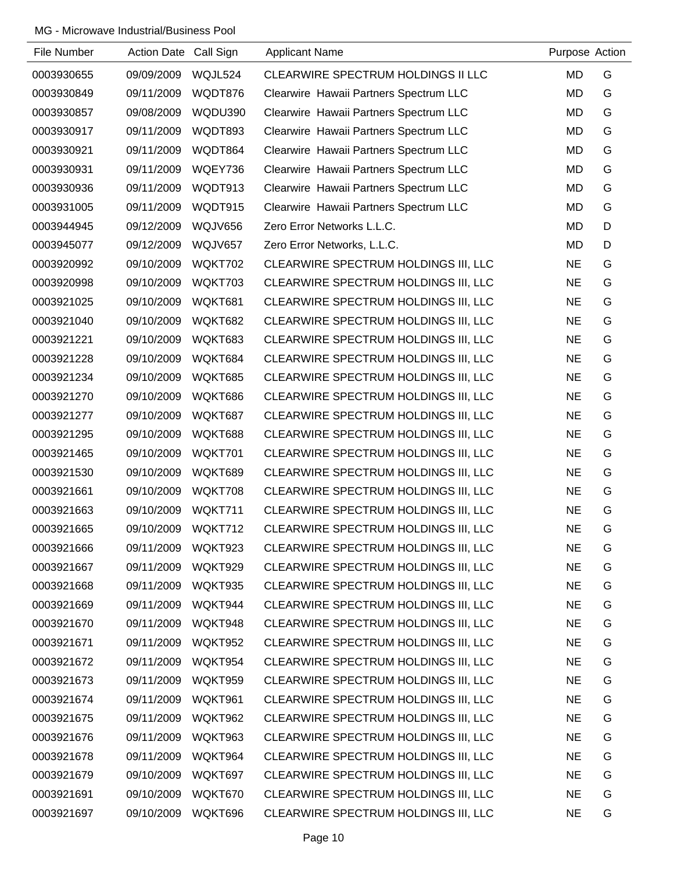| File Number | Action Date Call Sign |         | <b>Applicant Name</b>                  | Purpose Action |   |
|-------------|-----------------------|---------|----------------------------------------|----------------|---|
| 0003930655  | 09/09/2009            | WQJL524 | CLEARWIRE SPECTRUM HOLDINGS II LLC     | <b>MD</b>      | G |
| 0003930849  | 09/11/2009            | WQDT876 | Clearwire Hawaii Partners Spectrum LLC | <b>MD</b>      | G |
| 0003930857  | 09/08/2009            | WQDU390 | Clearwire Hawaii Partners Spectrum LLC | MD             | G |
| 0003930917  | 09/11/2009            | WQDT893 | Clearwire Hawaii Partners Spectrum LLC | <b>MD</b>      | G |
| 0003930921  | 09/11/2009            | WQDT864 | Clearwire Hawaii Partners Spectrum LLC | <b>MD</b>      | G |
| 0003930931  | 09/11/2009            | WQEY736 | Clearwire Hawaii Partners Spectrum LLC | MD             | G |
| 0003930936  | 09/11/2009            | WQDT913 | Clearwire Hawaii Partners Spectrum LLC | <b>MD</b>      | G |
| 0003931005  | 09/11/2009            | WQDT915 | Clearwire Hawaii Partners Spectrum LLC | MD             | G |
| 0003944945  | 09/12/2009            | WQJV656 | Zero Error Networks L.L.C.             | <b>MD</b>      | D |
| 0003945077  | 09/12/2009            | WQJV657 | Zero Error Networks, L.L.C.            | MD             | D |
| 0003920992  | 09/10/2009            | WQKT702 | CLEARWIRE SPECTRUM HOLDINGS III, LLC   | <b>NE</b>      | G |
| 0003920998  | 09/10/2009            | WQKT703 | CLEARWIRE SPECTRUM HOLDINGS III, LLC   | <b>NE</b>      | G |
| 0003921025  | 09/10/2009            | WQKT681 | CLEARWIRE SPECTRUM HOLDINGS III, LLC   | <b>NE</b>      | G |
| 0003921040  | 09/10/2009            | WQKT682 | CLEARWIRE SPECTRUM HOLDINGS III, LLC   | <b>NE</b>      | G |
| 0003921221  | 09/10/2009            | WQKT683 | CLEARWIRE SPECTRUM HOLDINGS III, LLC   | <b>NE</b>      | G |
| 0003921228  | 09/10/2009            | WQKT684 | CLEARWIRE SPECTRUM HOLDINGS III, LLC   | <b>NE</b>      | G |
| 0003921234  | 09/10/2009            | WQKT685 | CLEARWIRE SPECTRUM HOLDINGS III, LLC   | <b>NE</b>      | G |
| 0003921270  | 09/10/2009            | WQKT686 | CLEARWIRE SPECTRUM HOLDINGS III, LLC   | <b>NE</b>      | G |
| 0003921277  | 09/10/2009            | WQKT687 | CLEARWIRE SPECTRUM HOLDINGS III, LLC   | <b>NE</b>      | G |
| 0003921295  | 09/10/2009            | WQKT688 | CLEARWIRE SPECTRUM HOLDINGS III, LLC   | <b>NE</b>      | G |
| 0003921465  | 09/10/2009            | WQKT701 | CLEARWIRE SPECTRUM HOLDINGS III, LLC   | <b>NE</b>      | G |
| 0003921530  | 09/10/2009            | WQKT689 | CLEARWIRE SPECTRUM HOLDINGS III, LLC   | <b>NE</b>      | G |
| 0003921661  | 09/10/2009            | WQKT708 | CLEARWIRE SPECTRUM HOLDINGS III, LLC   | <b>NE</b>      | G |
| 0003921663  | 09/10/2009            | WQKT711 | CLEARWIRE SPECTRUM HOLDINGS III, LLC   | <b>NE</b>      | G |
| 0003921665  | 09/10/2009            | WQKT712 | CLEARWIRE SPECTRUM HOLDINGS III, LLC   | <b>NE</b>      | G |
| 0003921666  | 09/11/2009            | WQKT923 | CLEARWIRE SPECTRUM HOLDINGS III, LLC   | <b>NE</b>      | G |
| 0003921667  | 09/11/2009            | WQKT929 | CLEARWIRE SPECTRUM HOLDINGS III, LLC   | <b>NE</b>      | G |
| 0003921668  | 09/11/2009            | WQKT935 | CLEARWIRE SPECTRUM HOLDINGS III, LLC   | <b>NE</b>      | G |
| 0003921669  | 09/11/2009            | WQKT944 | CLEARWIRE SPECTRUM HOLDINGS III, LLC   | <b>NE</b>      | G |
| 0003921670  | 09/11/2009            | WQKT948 | CLEARWIRE SPECTRUM HOLDINGS III, LLC   | <b>NE</b>      | G |
| 0003921671  | 09/11/2009            | WQKT952 | CLEARWIRE SPECTRUM HOLDINGS III, LLC   | <b>NE</b>      | G |
| 0003921672  | 09/11/2009            | WQKT954 | CLEARWIRE SPECTRUM HOLDINGS III, LLC   | <b>NE</b>      | G |
| 0003921673  | 09/11/2009            | WQKT959 | CLEARWIRE SPECTRUM HOLDINGS III, LLC   | <b>NE</b>      | G |
| 0003921674  | 09/11/2009            | WQKT961 | CLEARWIRE SPECTRUM HOLDINGS III, LLC   | <b>NE</b>      | G |
| 0003921675  | 09/11/2009            | WQKT962 | CLEARWIRE SPECTRUM HOLDINGS III, LLC   | <b>NE</b>      | G |
| 0003921676  | 09/11/2009            | WQKT963 | CLEARWIRE SPECTRUM HOLDINGS III, LLC   | <b>NE</b>      | G |
| 0003921678  | 09/11/2009            | WQKT964 | CLEARWIRE SPECTRUM HOLDINGS III, LLC   | <b>NE</b>      | G |
| 0003921679  | 09/10/2009            | WQKT697 | CLEARWIRE SPECTRUM HOLDINGS III, LLC   | <b>NE</b>      | G |
| 0003921691  | 09/10/2009            | WQKT670 | CLEARWIRE SPECTRUM HOLDINGS III, LLC   | <b>NE</b>      | G |
| 0003921697  | 09/10/2009            | WQKT696 | CLEARWIRE SPECTRUM HOLDINGS III, LLC   | <b>NE</b>      | G |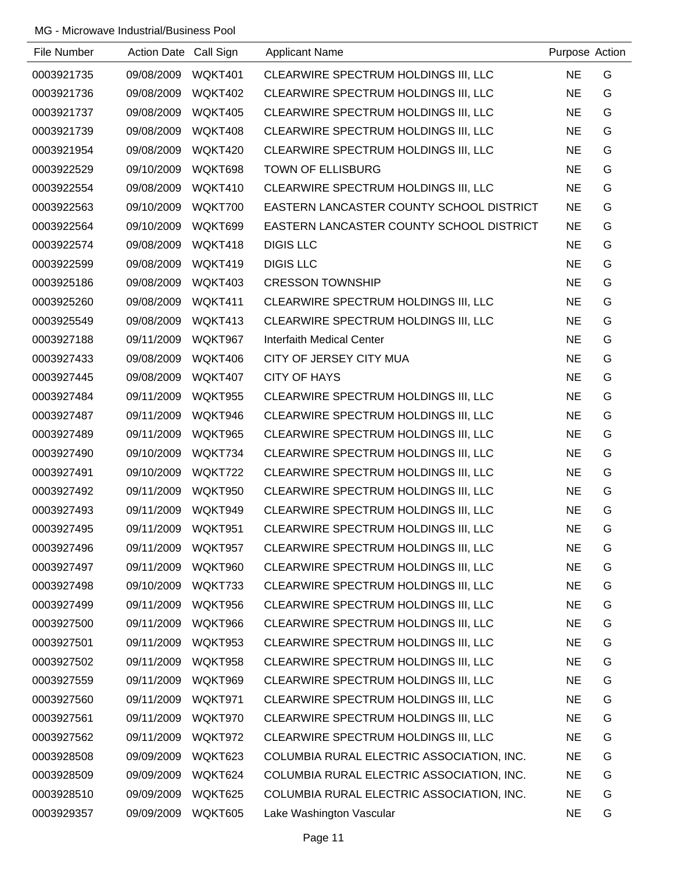| File Number | Action Date Call Sign |         | <b>Applicant Name</b>                     | Purpose Action |   |
|-------------|-----------------------|---------|-------------------------------------------|----------------|---|
| 0003921735  | 09/08/2009            | WQKT401 | CLEARWIRE SPECTRUM HOLDINGS III, LLC      | <b>NE</b>      | G |
| 0003921736  | 09/08/2009            | WQKT402 | CLEARWIRE SPECTRUM HOLDINGS III, LLC      | <b>NE</b>      | G |
| 0003921737  | 09/08/2009            | WQKT405 | CLEARWIRE SPECTRUM HOLDINGS III, LLC      | <b>NE</b>      | G |
| 0003921739  | 09/08/2009            | WQKT408 | CLEARWIRE SPECTRUM HOLDINGS III, LLC      | <b>NE</b>      | G |
| 0003921954  | 09/08/2009            | WQKT420 | CLEARWIRE SPECTRUM HOLDINGS III, LLC      | <b>NE</b>      | G |
| 0003922529  | 09/10/2009            | WQKT698 | <b>TOWN OF ELLISBURG</b>                  | <b>NE</b>      | G |
| 0003922554  | 09/08/2009            | WQKT410 | CLEARWIRE SPECTRUM HOLDINGS III, LLC      | <b>NE</b>      | G |
| 0003922563  | 09/10/2009            | WQKT700 | EASTERN LANCASTER COUNTY SCHOOL DISTRICT  | <b>NE</b>      | G |
| 0003922564  | 09/10/2009            | WQKT699 | EASTERN LANCASTER COUNTY SCHOOL DISTRICT  | <b>NE</b>      | G |
| 0003922574  | 09/08/2009            | WQKT418 | <b>DIGIS LLC</b>                          | <b>NE</b>      | G |
| 0003922599  | 09/08/2009            | WQKT419 | <b>DIGIS LLC</b>                          | <b>NE</b>      | G |
| 0003925186  | 09/08/2009            | WQKT403 | <b>CRESSON TOWNSHIP</b>                   | <b>NE</b>      | G |
| 0003925260  | 09/08/2009            | WQKT411 | CLEARWIRE SPECTRUM HOLDINGS III, LLC      | <b>NE</b>      | G |
| 0003925549  | 09/08/2009            | WQKT413 | CLEARWIRE SPECTRUM HOLDINGS III, LLC      | <b>NE</b>      | G |
| 0003927188  | 09/11/2009            | WQKT967 | <b>Interfaith Medical Center</b>          | <b>NE</b>      | G |
| 0003927433  | 09/08/2009            | WQKT406 | CITY OF JERSEY CITY MUA                   | <b>NE</b>      | G |
| 0003927445  | 09/08/2009            | WQKT407 | <b>CITY OF HAYS</b>                       | <b>NE</b>      | G |
| 0003927484  | 09/11/2009            | WQKT955 | CLEARWIRE SPECTRUM HOLDINGS III, LLC      | <b>NE</b>      | G |
| 0003927487  | 09/11/2009            | WQKT946 | CLEARWIRE SPECTRUM HOLDINGS III, LLC      | <b>NE</b>      | G |
| 0003927489  | 09/11/2009            | WQKT965 | CLEARWIRE SPECTRUM HOLDINGS III, LLC      | <b>NE</b>      | G |
| 0003927490  | 09/10/2009            | WQKT734 | CLEARWIRE SPECTRUM HOLDINGS III, LLC      | <b>NE</b>      | G |
| 0003927491  | 09/10/2009            | WQKT722 | CLEARWIRE SPECTRUM HOLDINGS III, LLC      | <b>NE</b>      | G |
| 0003927492  | 09/11/2009            | WQKT950 | CLEARWIRE SPECTRUM HOLDINGS III, LLC      | <b>NE</b>      | G |
| 0003927493  | 09/11/2009            | WQKT949 | CLEARWIRE SPECTRUM HOLDINGS III, LLC      | <b>NE</b>      | G |
| 0003927495  | 09/11/2009            | WQKT951 | CLEARWIRE SPECTRUM HOLDINGS III, LLC      | <b>NE</b>      | G |
| 0003927496  | 09/11/2009            | WQKT957 | CLEARWIRE SPECTRUM HOLDINGS III, LLC      | <b>NE</b>      | G |
| 0003927497  | 09/11/2009            | WQKT960 | CLEARWIRE SPECTRUM HOLDINGS III, LLC      | <b>NE</b>      | G |
| 0003927498  | 09/10/2009            | WQKT733 | CLEARWIRE SPECTRUM HOLDINGS III, LLC      | <b>NE</b>      | G |
| 0003927499  | 09/11/2009            | WQKT956 | CLEARWIRE SPECTRUM HOLDINGS III, LLC      | <b>NE</b>      | G |
| 0003927500  | 09/11/2009            | WQKT966 | CLEARWIRE SPECTRUM HOLDINGS III, LLC      | <b>NE</b>      | G |
| 0003927501  | 09/11/2009            | WQKT953 | CLEARWIRE SPECTRUM HOLDINGS III, LLC      | <b>NE</b>      | G |
| 0003927502  | 09/11/2009            | WQKT958 | CLEARWIRE SPECTRUM HOLDINGS III, LLC      | <b>NE</b>      | G |
| 0003927559  | 09/11/2009            | WQKT969 | CLEARWIRE SPECTRUM HOLDINGS III, LLC      | <b>NE</b>      | G |
| 0003927560  | 09/11/2009            | WQKT971 | CLEARWIRE SPECTRUM HOLDINGS III, LLC      | <b>NE</b>      | G |
| 0003927561  | 09/11/2009            | WQKT970 | CLEARWIRE SPECTRUM HOLDINGS III, LLC      | <b>NE</b>      | G |
| 0003927562  | 09/11/2009            | WQKT972 | CLEARWIRE SPECTRUM HOLDINGS III, LLC      | <b>NE</b>      | G |
| 0003928508  | 09/09/2009            | WQKT623 | COLUMBIA RURAL ELECTRIC ASSOCIATION, INC. | <b>NE</b>      | G |
| 0003928509  | 09/09/2009            | WQKT624 | COLUMBIA RURAL ELECTRIC ASSOCIATION, INC. | <b>NE</b>      | G |
| 0003928510  | 09/09/2009            | WQKT625 | COLUMBIA RURAL ELECTRIC ASSOCIATION, INC. | <b>NE</b>      | G |
| 0003929357  | 09/09/2009            | WQKT605 | Lake Washington Vascular                  | <b>NE</b>      | G |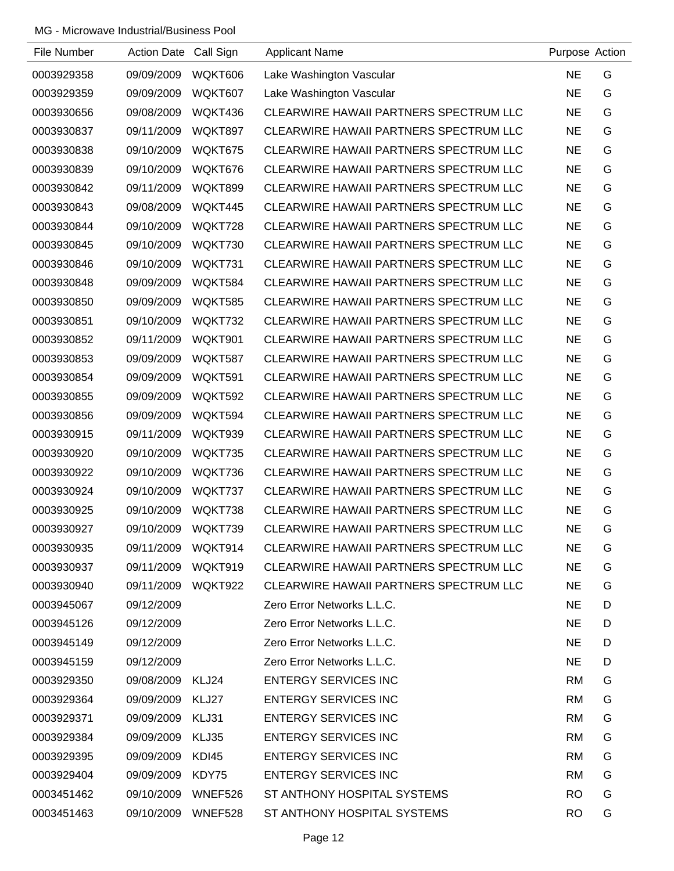| File Number | Action Date Call Sign |         | <b>Applicant Name</b>                  | Purpose Action |   |
|-------------|-----------------------|---------|----------------------------------------|----------------|---|
| 0003929358  | 09/09/2009            | WQKT606 | Lake Washington Vascular               | <b>NE</b>      | G |
| 0003929359  | 09/09/2009            | WQKT607 | Lake Washington Vascular               | <b>NE</b>      | G |
| 0003930656  | 09/08/2009            | WQKT436 | CLEARWIRE HAWAII PARTNERS SPECTRUM LLC | <b>NE</b>      | G |
| 0003930837  | 09/11/2009            | WQKT897 | CLEARWIRE HAWAII PARTNERS SPECTRUM LLC | <b>NE</b>      | G |
| 0003930838  | 09/10/2009            | WQKT675 | CLEARWIRE HAWAII PARTNERS SPECTRUM LLC | <b>NE</b>      | G |
| 0003930839  | 09/10/2009            | WQKT676 | CLEARWIRE HAWAII PARTNERS SPECTRUM LLC | <b>NE</b>      | G |
| 0003930842  | 09/11/2009            | WQKT899 | CLEARWIRE HAWAII PARTNERS SPECTRUM LLC | <b>NE</b>      | G |
| 0003930843  | 09/08/2009            | WQKT445 | CLEARWIRE HAWAII PARTNERS SPECTRUM LLC | <b>NE</b>      | G |
| 0003930844  | 09/10/2009            | WQKT728 | CLEARWIRE HAWAII PARTNERS SPECTRUM LLC | <b>NE</b>      | G |
| 0003930845  | 09/10/2009            | WQKT730 | CLEARWIRE HAWAII PARTNERS SPECTRUM LLC | <b>NE</b>      | G |
| 0003930846  | 09/10/2009            | WQKT731 | CLEARWIRE HAWAII PARTNERS SPECTRUM LLC | <b>NE</b>      | G |
| 0003930848  | 09/09/2009            | WQKT584 | CLEARWIRE HAWAII PARTNERS SPECTRUM LLC | <b>NE</b>      | G |
| 0003930850  | 09/09/2009            | WQKT585 | CLEARWIRE HAWAII PARTNERS SPECTRUM LLC | <b>NE</b>      | G |
| 0003930851  | 09/10/2009            | WQKT732 | CLEARWIRE HAWAII PARTNERS SPECTRUM LLC | <b>NE</b>      | G |
| 0003930852  | 09/11/2009            | WQKT901 | CLEARWIRE HAWAII PARTNERS SPECTRUM LLC | <b>NE</b>      | G |
| 0003930853  | 09/09/2009            | WQKT587 | CLEARWIRE HAWAII PARTNERS SPECTRUM LLC | <b>NE</b>      | G |
| 0003930854  | 09/09/2009            | WQKT591 | CLEARWIRE HAWAII PARTNERS SPECTRUM LLC | <b>NE</b>      | G |
| 0003930855  | 09/09/2009            | WQKT592 | CLEARWIRE HAWAII PARTNERS SPECTRUM LLC | <b>NE</b>      | G |
| 0003930856  | 09/09/2009            | WQKT594 | CLEARWIRE HAWAII PARTNERS SPECTRUM LLC | <b>NE</b>      | G |
| 0003930915  | 09/11/2009            | WQKT939 | CLEARWIRE HAWAII PARTNERS SPECTRUM LLC | <b>NE</b>      | G |
| 0003930920  | 09/10/2009            | WQKT735 | CLEARWIRE HAWAII PARTNERS SPECTRUM LLC | <b>NE</b>      | G |
| 0003930922  | 09/10/2009            | WQKT736 | CLEARWIRE HAWAII PARTNERS SPECTRUM LLC | <b>NE</b>      | G |
| 0003930924  | 09/10/2009            | WQKT737 | CLEARWIRE HAWAII PARTNERS SPECTRUM LLC | <b>NE</b>      | G |
| 0003930925  | 09/10/2009            | WQKT738 | CLEARWIRE HAWAII PARTNERS SPECTRUM LLC | <b>NE</b>      | G |
| 0003930927  | 09/10/2009            | WQKT739 | CLEARWIRE HAWAII PARTNERS SPECTRUM LLC | <b>NE</b>      | G |
| 0003930935  | 09/11/2009            | WQKT914 | CLEARWIRE HAWAII PARTNERS SPECTRUM LLC | <b>NE</b>      | G |
| 0003930937  | 09/11/2009            | WQKT919 | CLEARWIRE HAWAII PARTNERS SPECTRUM LLC | <b>NE</b>      | G |
| 0003930940  | 09/11/2009            | WQKT922 | CLEARWIRE HAWAII PARTNERS SPECTRUM LLC | NE.            | G |
| 0003945067  | 09/12/2009            |         | Zero Error Networks L.L.C.             | <b>NE</b>      | D |
| 0003945126  | 09/12/2009            |         | Zero Error Networks L.L.C.             | <b>NE</b>      | D |
| 0003945149  | 09/12/2009            |         | Zero Error Networks L.L.C.             | <b>NE</b>      | D |
| 0003945159  | 09/12/2009            |         | Zero Error Networks L.L.C.             | <b>NE</b>      | D |
| 0003929350  | 09/08/2009            | KLJ24   | <b>ENTERGY SERVICES INC</b>            | RM             | G |
| 0003929364  | 09/09/2009            | KLJ27   | <b>ENTERGY SERVICES INC</b>            | <b>RM</b>      | G |
| 0003929371  | 09/09/2009            | KLJ31   | <b>ENTERGY SERVICES INC</b>            | <b>RM</b>      | G |
| 0003929384  | 09/09/2009            | KLJ35   | <b>ENTERGY SERVICES INC</b>            | <b>RM</b>      | G |
| 0003929395  | 09/09/2009            | KDI45   | <b>ENTERGY SERVICES INC</b>            | RM             | G |
| 0003929404  | 09/09/2009            | KDY75   | <b>ENTERGY SERVICES INC</b>            | <b>RM</b>      | G |
| 0003451462  | 09/10/2009            | WNEF526 | ST ANTHONY HOSPITAL SYSTEMS            | <b>RO</b>      | G |
| 0003451463  | 09/10/2009            | WNEF528 | ST ANTHONY HOSPITAL SYSTEMS            | <b>RO</b>      | G |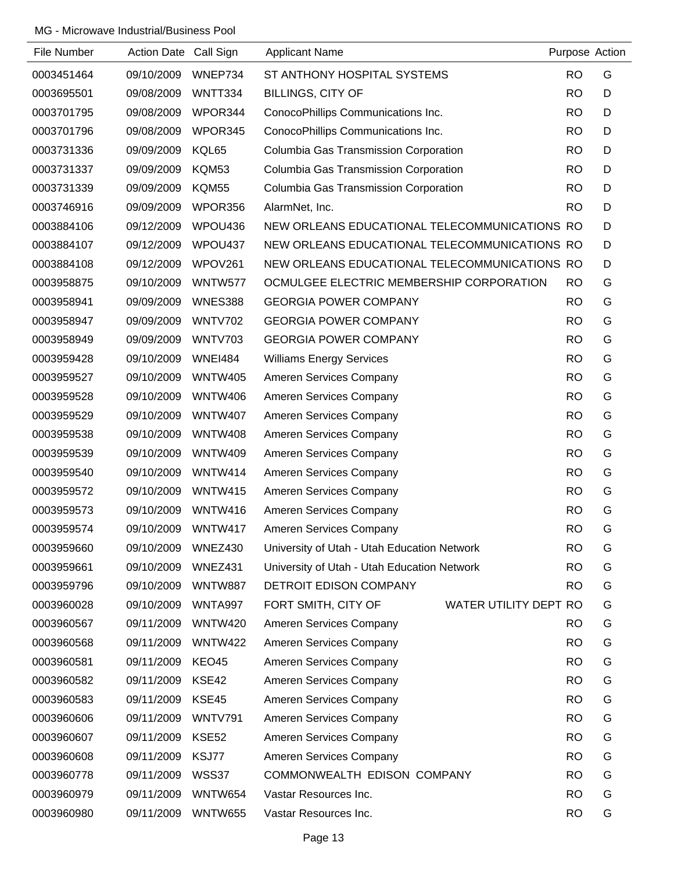| File Number | Action Date Call Sign |                | <b>Applicant Name</b>                               | Purpose Action |   |
|-------------|-----------------------|----------------|-----------------------------------------------------|----------------|---|
| 0003451464  | 09/10/2009            | WNEP734        | ST ANTHONY HOSPITAL SYSTEMS                         | <b>RO</b>      | G |
| 0003695501  | 09/08/2009            | WNTT334        | <b>BILLINGS, CITY OF</b>                            | <b>RO</b>      | D |
| 0003701795  | 09/08/2009            | WPOR344        | ConocoPhillips Communications Inc.                  | <b>RO</b>      | D |
| 0003701796  | 09/08/2009            | WPOR345        | ConocoPhillips Communications Inc.                  | <b>RO</b>      | D |
| 0003731336  | 09/09/2009            | KQL65          | Columbia Gas Transmission Corporation               | <b>RO</b>      | D |
| 0003731337  | 09/09/2009            | KQM53          | Columbia Gas Transmission Corporation               | <b>RO</b>      | D |
| 0003731339  | 09/09/2009            | <b>KQM55</b>   | Columbia Gas Transmission Corporation               | <b>RO</b>      | D |
| 0003746916  | 09/09/2009            | WPOR356        | AlarmNet, Inc.                                      | <b>RO</b>      | D |
| 0003884106  | 09/12/2009            | WPOU436        | NEW ORLEANS EDUCATIONAL TELECOMMUNICATIONS RO       |                | D |
| 0003884107  | 09/12/2009            | WPOU437        | NEW ORLEANS EDUCATIONAL TELECOMMUNICATIONS RO       |                | D |
| 0003884108  | 09/12/2009            | WPOV261        | NEW ORLEANS EDUCATIONAL TELECOMMUNICATIONS RO       |                | D |
| 0003958875  | 09/10/2009            | WNTW577        | OCMULGEE ELECTRIC MEMBERSHIP CORPORATION            | <b>RO</b>      | G |
| 0003958941  | 09/09/2009            | WNES388        | <b>GEORGIA POWER COMPANY</b>                        | <b>RO</b>      | G |
| 0003958947  | 09/09/2009            | <b>WNTV702</b> | <b>GEORGIA POWER COMPANY</b>                        | <b>RO</b>      | G |
| 0003958949  | 09/09/2009            | <b>WNTV703</b> | <b>GEORGIA POWER COMPANY</b>                        | <b>RO</b>      | G |
| 0003959428  | 09/10/2009            | <b>WNEI484</b> | <b>Williams Energy Services</b>                     | <b>RO</b>      | G |
| 0003959527  | 09/10/2009            | <b>WNTW405</b> | Ameren Services Company                             | <b>RO</b>      | G |
| 0003959528  | 09/10/2009            | <b>WNTW406</b> | Ameren Services Company                             | <b>RO</b>      | G |
| 0003959529  | 09/10/2009            | <b>WNTW407</b> | Ameren Services Company                             | <b>RO</b>      | G |
| 0003959538  | 09/10/2009            | <b>WNTW408</b> | Ameren Services Company                             | <b>RO</b>      | G |
| 0003959539  | 09/10/2009            | <b>WNTW409</b> | Ameren Services Company                             | <b>RO</b>      | G |
| 0003959540  | 09/10/2009            | WNTW414        | Ameren Services Company                             | <b>RO</b>      | G |
| 0003959572  | 09/10/2009            | <b>WNTW415</b> | Ameren Services Company                             | <b>RO</b>      | G |
| 0003959573  | 09/10/2009            | WNTW416        | Ameren Services Company                             | <b>RO</b>      | G |
| 0003959574  | 09/10/2009            | WNTW417        | Ameren Services Company                             | <b>RO</b>      | G |
| 0003959660  | 09/10/2009            | WNEZ430        | University of Utah - Utah Education Network         | <b>RO</b>      | G |
| 0003959661  | 09/10/2009            | WNEZ431        | University of Utah - Utah Education Network         | <b>RO</b>      | G |
| 0003959796  | 09/10/2009            | <b>WNTW887</b> | DETROIT EDISON COMPANY                              | <b>RO</b>      | G |
| 0003960028  | 09/10/2009            | WNTA997        | FORT SMITH, CITY OF<br><b>WATER UTILITY DEPT RO</b> |                | G |
| 0003960567  | 09/11/2009            | <b>WNTW420</b> | Ameren Services Company                             | <b>RO</b>      | G |
| 0003960568  | 09/11/2009            | <b>WNTW422</b> | Ameren Services Company                             | <b>RO</b>      | G |
| 0003960581  | 09/11/2009            | KEO45          | Ameren Services Company                             | <b>RO</b>      | G |
| 0003960582  | 09/11/2009            | KSE42          | Ameren Services Company                             | <b>RO</b>      | G |
| 0003960583  | 09/11/2009            | KSE45          | Ameren Services Company                             | <b>RO</b>      | G |
| 0003960606  | 09/11/2009            | <b>WNTV791</b> | Ameren Services Company                             | <b>RO</b>      | G |
| 0003960607  | 09/11/2009            | KSE52          | Ameren Services Company                             | <b>RO</b>      | G |
| 0003960608  | 09/11/2009            | KSJ77          | Ameren Services Company                             | <b>RO</b>      | G |
| 0003960778  | 09/11/2009            | WSS37          | COMMONWEALTH EDISON COMPANY                         | <b>RO</b>      | G |
| 0003960979  | 09/11/2009            | WNTW654        | Vastar Resources Inc.                               | <b>RO</b>      | G |
| 0003960980  | 09/11/2009            | <b>WNTW655</b> | Vastar Resources Inc.                               | <b>RO</b>      | G |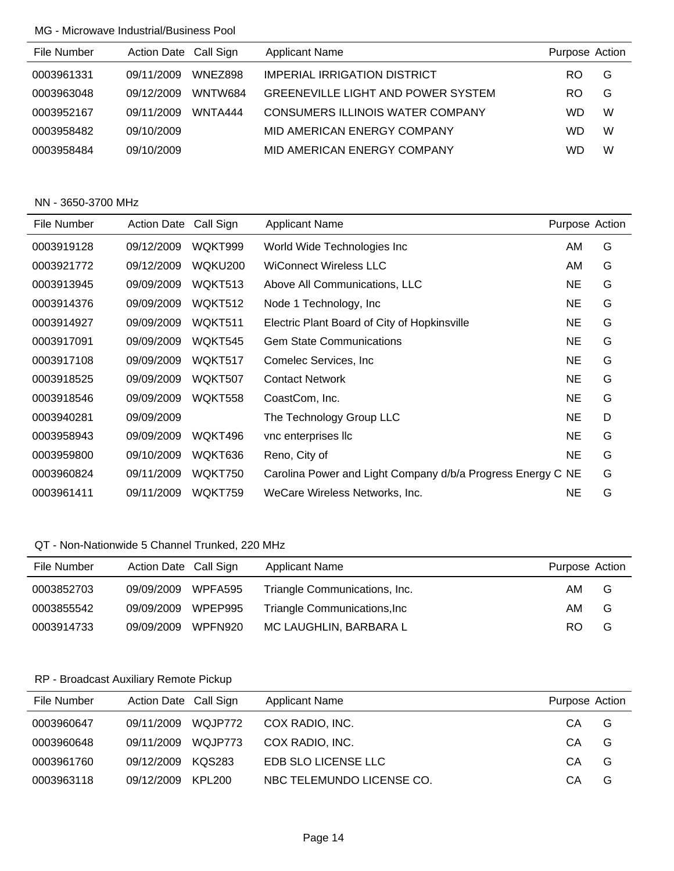| File Number | Action Date Call Sign |         | <b>Applicant Name</b>                     | Purpose Action |   |
|-------------|-----------------------|---------|-------------------------------------------|----------------|---|
| 0003961331  | 09/11/2009            | WNEZ898 | <b>IMPERIAL IRRIGATION DISTRICT</b>       | RO             | G |
| 0003963048  | 09/12/2009            | WNTW684 | <b>GREENEVILLE LIGHT AND POWER SYSTEM</b> | RO             | G |
| 0003952167  | 09/11/2009            | WNTA444 | CONSUMERS ILLINOIS WATER COMPANY          | WD             | W |
| 0003958482  | 09/10/2009            |         | MID AMERICAN ENERGY COMPANY               | WD             | W |
| 0003958484  | 09/10/2009            |         | MID AMERICAN ENERGY COMPANY               | WD             | W |

### NN - 3650-3700 MHz

| File Number | <b>Action Date</b> | Call Sign | Applicant Name                                              | Purpose Action |   |
|-------------|--------------------|-----------|-------------------------------------------------------------|----------------|---|
| 0003919128  | 09/12/2009         | WQKT999   | World Wide Technologies Inc                                 | AM             | G |
| 0003921772  | 09/12/2009         | WQKU200   | <b>WiConnect Wireless LLC</b>                               | AM             | G |
| 0003913945  | 09/09/2009         | WQKT513   | Above All Communications, LLC                               | <b>NE</b>      | G |
| 0003914376  | 09/09/2009         | WQKT512   | Node 1 Technology, Inc.                                     | <b>NE</b>      | G |
| 0003914927  | 09/09/2009         | WQKT511   | Electric Plant Board of City of Hopkinsville                | <b>NE</b>      | G |
| 0003917091  | 09/09/2009         | WQKT545   | <b>Gem State Communications</b>                             | NE.            | G |
| 0003917108  | 09/09/2009         | WQKT517   | Comelec Services, Inc.                                      | <b>NE</b>      | G |
| 0003918525  | 09/09/2009         | WQKT507   | <b>Contact Network</b>                                      | <b>NE</b>      | G |
| 0003918546  | 09/09/2009         | WQKT558   | CoastCom, Inc.                                              | <b>NE</b>      | G |
| 0003940281  | 09/09/2009         |           | The Technology Group LLC                                    | <b>NE</b>      | D |
| 0003958943  | 09/09/2009         | WQKT496   | vnc enterprises llc                                         | <b>NE</b>      | G |
| 0003959800  | 09/10/2009         | WQKT636   | Reno, City of                                               | <b>NE</b>      | G |
| 0003960824  | 09/11/2009         | WQKT750   | Carolina Power and Light Company d/b/a Progress Energy C NE |                | G |
| 0003961411  | 09/11/2009         | WQKT759   | WeCare Wireless Networks, Inc.                              | <b>NE</b>      | G |

### QT - Non-Nationwide 5 Channel Trunked, 220 MHz

| File Number | Action Date Call Sign |         | <b>Applicant Name</b>                | Purpose Action |   |
|-------------|-----------------------|---------|--------------------------------------|----------------|---|
| 0003852703  | 09/09/2009 WPFA595    |         | Triangle Communications, Inc.        | AM.            | G |
| 0003855542  | 09/09/2009            | WPEP995 | <b>Triangle Communications, Inc.</b> | AM             | G |
| 0003914733  | 09/09/2009            | WPFN920 | MC LAUGHLIN, BARBARA L               | RO.            | G |

# RP - Broadcast Auxiliary Remote Pickup

| File Number | Action Date Call Sign | <b>Applicant Name</b>     | Purpose Action |   |
|-------------|-----------------------|---------------------------|----------------|---|
| 0003960647  | 09/11/2009 WQJP772    | COX RADIO, INC.           | CA             | G |
| 0003960648  | 09/11/2009 WQJP773    | COX RADIO, INC.           | CА             | G |
| 0003961760  | 09/12/2009 KQS283     | EDB SLO LICENSE LLC       | СA             | G |
| 0003963118  | 09/12/2009 KPL200     | NBC TELEMUNDO LICENSE CO. | CА             | G |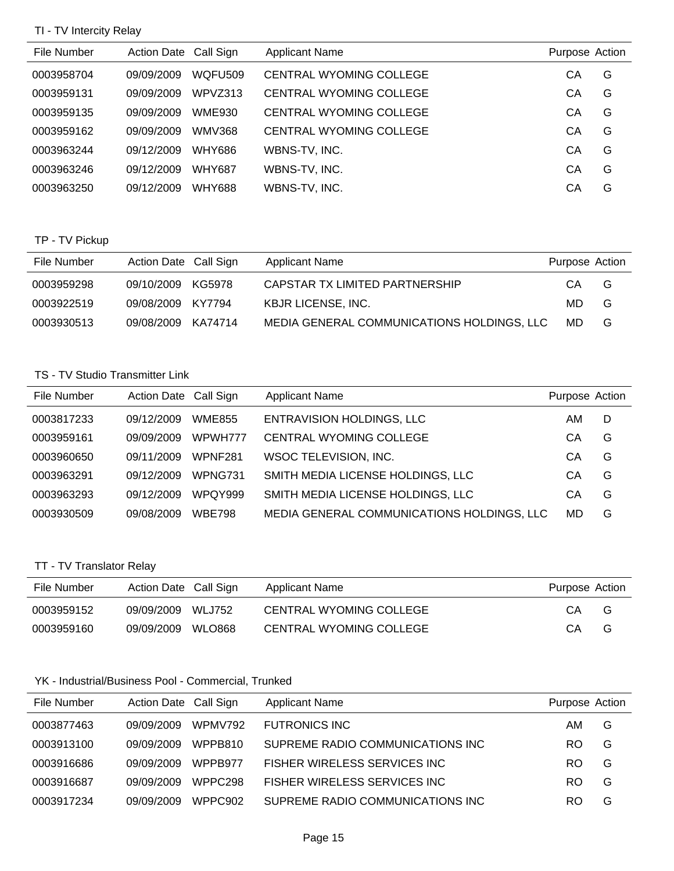### TI - TV Intercity Relay

| File Number | Action Date Call Sign |               | <b>Applicant Name</b>          | Purpose Action |   |
|-------------|-----------------------|---------------|--------------------------------|----------------|---|
| 0003958704  | 09/09/2009            | WQFU509       | <b>CENTRAL WYOMING COLLEGE</b> | CА             | G |
| 0003959131  | 09/09/2009            | WPVZ313       | <b>CENTRAL WYOMING COLLEGE</b> | СA             | G |
| 0003959135  | 09/09/2009            | <b>WME930</b> | <b>CENTRAL WYOMING COLLEGE</b> | CА             | G |
| 0003959162  | 09/09/2009            | <b>WMV368</b> | <b>CENTRAL WYOMING COLLEGE</b> | СA             | G |
| 0003963244  | 09/12/2009            | WHY686        | WBNS-TV, INC.                  | CА             | G |
| 0003963246  | 09/12/2009            | <b>WHY687</b> | WBNS-TV, INC.                  | CA             | G |
| 0003963250  | 09/12/2009            | <b>WHY688</b> | WBNS-TV, INC.                  | CА             | G |

## TP - TV Pickup

| File Number | Action Date Call Sign | Applicant Name                             | Purpose Action |   |
|-------------|-----------------------|--------------------------------------------|----------------|---|
| 0003959298  | 09/10/2009 KG5978     | CAPSTAR TX LIMITED PARTNERSHIP             | CA.            | G |
| 0003922519  | 09/08/2009 KY7794     | <b>KBJR LICENSE, INC.</b>                  | MD.            | G |
| 0003930513  | 09/08/2009 KA74714    | MEDIA GENERAL COMMUNICATIONS HOLDINGS, LLC | MD.            | G |

#### TS - TV Studio Transmitter Link

| File Number | Action Date Call Sign |                | <b>Applicant Name</b>                      | Purpose Action |   |
|-------------|-----------------------|----------------|--------------------------------------------|----------------|---|
| 0003817233  | 09/12/2009            | <b>WME855</b>  | <b>ENTRAVISION HOLDINGS, LLC</b>           | AM             | D |
| 0003959161  | 09/09/2009            | WPWH777        | <b>CENTRAL WYOMING COLLEGE</b>             | CА             | G |
| 0003960650  | 09/11/2009            | WPNF281        | WSOC TELEVISION, INC.                      | CА             | G |
| 0003963291  | 09/12/2009            | WPNG731        | SMITH MEDIA LICENSE HOLDINGS, LLC          | CA             | G |
| 0003963293  | 09/12/2009            | <b>WPOY999</b> | SMITH MEDIA LICENSE HOLDINGS, LLC          | СA             | G |
| 0003930509  | 09/08/2009            | <b>WBE798</b>  | MEDIA GENERAL COMMUNICATIONS HOLDINGS, LLC | MD             | G |

## TT - TV Translator Relay

| File Number | Action Date Call Sign       | Applicant Name          | Purpose Action |
|-------------|-----------------------------|-------------------------|----------------|
| 0003959152  | <b>WLJ752</b><br>09/09/2009 | CENTRAL WYOMING COLLEGE | СA<br>G        |
| 0003959160  | WLO868<br>09/09/2009        | CENTRAL WYOMING COLLEGE | G<br>СA        |

## YK - Industrial/Business Pool - Commercial, Trunked

| File Number | Action Date Call Sign             | <b>Applicant Name</b>             | Purpose Action |
|-------------|-----------------------------------|-----------------------------------|----------------|
| 0003877463  | WPMV792<br>09/09/2009             | <b>FUTRONICS INC</b>              | G<br>AM.       |
| 0003913100  | WPPB810<br>09/09/2009             | SUPREME RADIO COMMUNICATIONS INC. | RO.<br>G       |
| 0003916686  | 09/09/2009<br>WPPB977             | FISHER WIRELESS SERVICES INC.     | RO.<br>G       |
| 0003916687  | WPPC <sub>298</sub><br>09/09/2009 | FISHER WIRELESS SERVICES INC.     | RO.<br>G       |
| 0003917234  | 09/09/2009<br>WPPC902             | SUPREME RADIO COMMUNICATIONS INC  | G<br>RO        |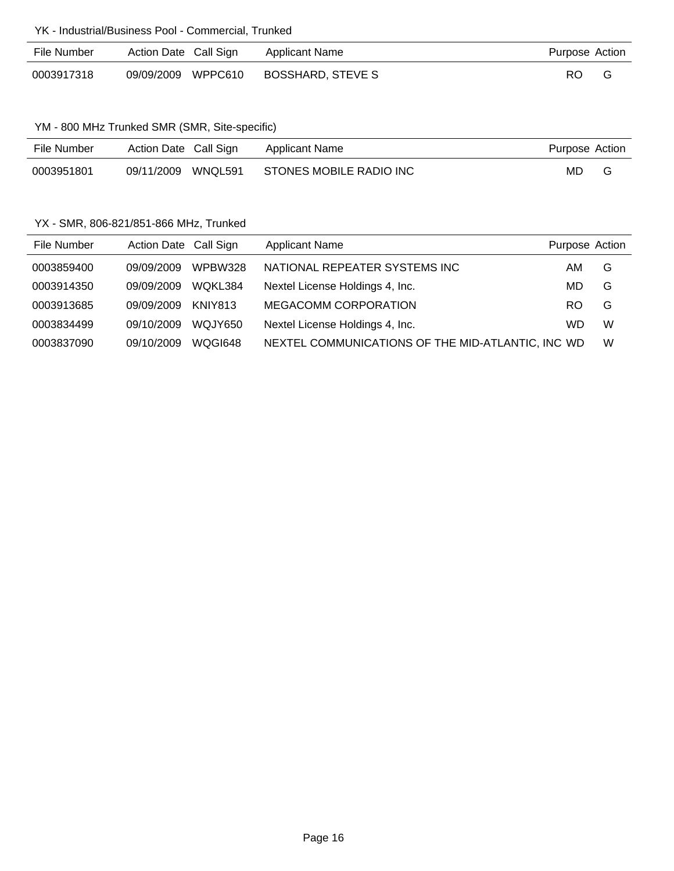#### YK - Industrial/Business Pool - Commercial, Trunked

| File Number | Action Date Call Sign | Applicant Name    | Purpose Action |  |
|-------------|-----------------------|-------------------|----------------|--|
| 0003917318  | 09/09/2009 WPPC610    | BOSSHARD, STEVE S | RO.            |  |

### YM - 800 MHz Trunked SMR (SMR, Site-specific)

| File Number | Action Date Call Sign |         | Applicant Name          | Purpose Action |   |
|-------------|-----------------------|---------|-------------------------|----------------|---|
| 0003951801  | 09/11/2009            | WNQL591 | STONES MOBILE RADIO INC | MD             | G |

### YX - SMR, 806-821/851-866 MHz, Trunked

| File Number | Action Date Call Sign |                | <b>Applicant Name</b>                             | Purpose Action |   |
|-------------|-----------------------|----------------|---------------------------------------------------|----------------|---|
| 0003859400  | 09/09/2009            | <b>WPBW328</b> | NATIONAL REPEATER SYSTEMS INC                     | AM             | G |
| 0003914350  | 09/09/2009            | WOKL384        | Nextel License Holdings 4, Inc.                   | MD             | G |
| 0003913685  | 09/09/2009            | KNIY813        | <b>MEGACOMM CORPORATION</b>                       | RO.            | G |
| 0003834499  | 09/10/2009            | WQJY650        | Nextel License Holdings 4, Inc.                   | WD             | W |
| 0003837090  | 09/10/2009            | WOGI648        | NEXTEL COMMUNICATIONS OF THE MID-ATLANTIC, INC WD |                | W |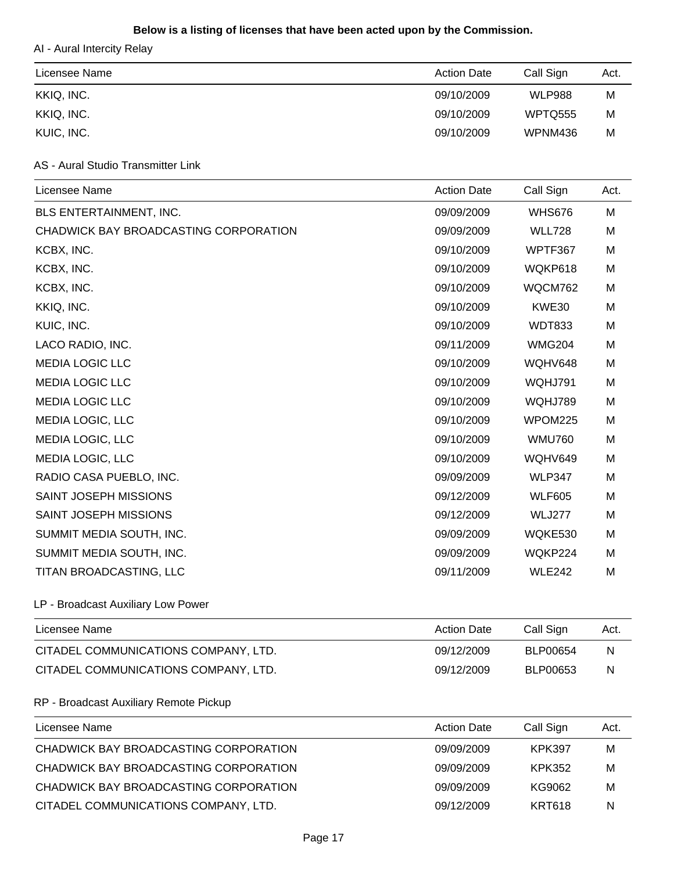### **Below is a listing of licenses that have been acted upon by the Commission.**

AI - Aural Intercity Relay

| Licensee Name | <b>Action Date</b> | Call Sign      | Act. |
|---------------|--------------------|----------------|------|
| KKIQ, INC.    | 09/10/2009         | <b>WLP988</b>  | м    |
| KKIQ, INC.    | 09/10/2009         | <b>WPTQ555</b> | M    |
| KUIC, INC.    | 09/10/2009         | WPNM436        | M    |

# AS - Aural Studio Transmitter Link

| Licensee Name                          | <b>Action Date</b> | Call Sign     | Act. |
|----------------------------------------|--------------------|---------------|------|
| BLS ENTERTAINMENT, INC.                | 09/09/2009         | <b>WHS676</b> | Μ    |
| CHADWICK BAY BROADCASTING CORPORATION  | 09/09/2009         | <b>WLL728</b> | M    |
| KCBX, INC.                             | 09/10/2009         | WPTF367       | M    |
| KCBX, INC.                             | 09/10/2009         | WQKP618       | M    |
| KCBX, INC.                             | 09/10/2009         | WQCM762       | M    |
| KKIQ, INC.                             | 09/10/2009         | KWE30         | M    |
| KUIC, INC.                             | 09/10/2009         | <b>WDT833</b> | M    |
| LACO RADIO, INC.                       | 09/11/2009         | <b>WMG204</b> | М    |
| <b>MEDIA LOGIC LLC</b>                 | 09/10/2009         | WQHV648       | M    |
| <b>MEDIA LOGIC LLC</b>                 | 09/10/2009         | WQHJ791       | M    |
| <b>MEDIA LOGIC LLC</b>                 | 09/10/2009         | WQHJ789       | M    |
| MEDIA LOGIC, LLC                       | 09/10/2009         | WPOM225       | M    |
| MEDIA LOGIC, LLC                       | 09/10/2009         | <b>WMU760</b> | M    |
| MEDIA LOGIC, LLC                       | 09/10/2009         | WQHV649       | M    |
| RADIO CASA PUEBLO, INC.                | 09/09/2009         | <b>WLP347</b> | M    |
| SAINT JOSEPH MISSIONS                  | 09/12/2009         | <b>WLF605</b> | M    |
| SAINT JOSEPH MISSIONS                  | 09/12/2009         | <b>WLJ277</b> | M    |
| SUMMIT MEDIA SOUTH, INC.               | 09/09/2009         | WQKE530       | M    |
| SUMMIT MEDIA SOUTH, INC.               | 09/09/2009         | WQKP224       | М    |
| TITAN BROADCASTING, LLC                | 09/11/2009         | <b>WLE242</b> | M    |
| LP - Broadcast Auxiliary Low Power     |                    |               |      |
| Licensee Name                          | <b>Action Date</b> | Call Sign     | Act. |
| CITADEL COMMUNICATIONS COMPANY, LTD.   | 09/12/2009         | BLP00654      | N    |
| CITADEL COMMUNICATIONS COMPANY, LTD.   | 09/12/2009         | BLP00653      | N    |
| RP - Broadcast Auxiliary Remote Pickup |                    |               |      |
| Licensee Name                          | <b>Action Date</b> | Call Sign     | Act. |
|                                        |                    |               |      |

| CHADWICK BAY BROADCASTING CORPORATION | 09/09/2009 | KPK397 | м |
|---------------------------------------|------------|--------|---|
| CHADWICK BAY BROADCASTING CORPORATION | 09/09/2009 | KPK352 | м |
| CHADWICK BAY BROADCASTING CORPORATION | 09/09/2009 | KG9062 | м |
| CITADEL COMMUNICATIONS COMPANY, LTD.  | 09/12/2009 | KRT618 | N |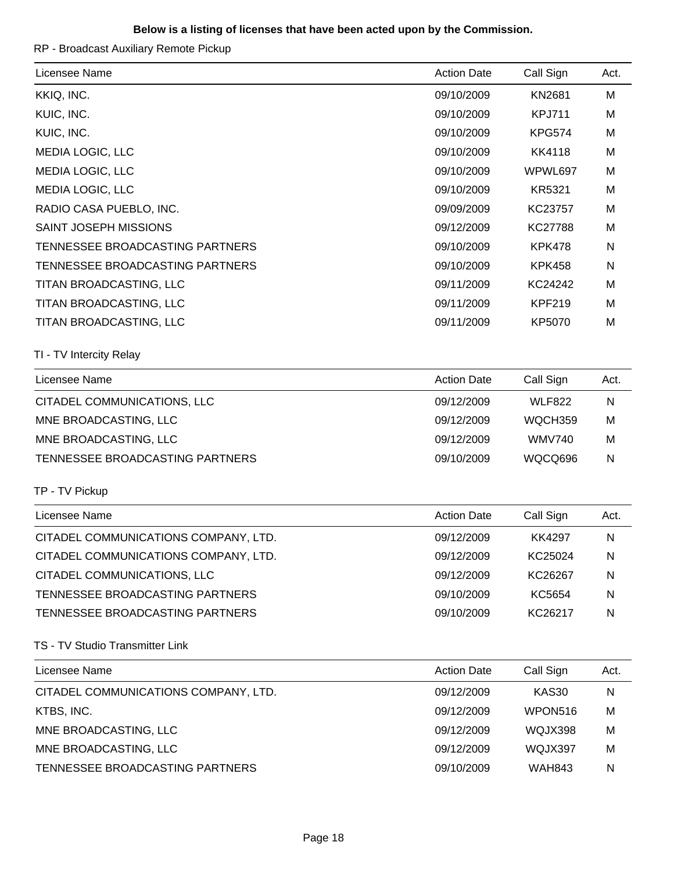#### **Below is a listing of licenses that have been acted upon by the Commission.**

RP - Broadcast Auxiliary Remote Pickup

| Licensee Name                        | <b>Action Date</b><br>09/10/2009 | Call Sign      | Act.         |
|--------------------------------------|----------------------------------|----------------|--------------|
|                                      |                                  |                |              |
| KKIQ, INC.                           |                                  | KN2681         | M            |
| KUIC, INC.                           | 09/10/2009                       | <b>KPJ711</b>  | M            |
| KUIC, INC.                           | 09/10/2009                       | <b>KPG574</b>  | м            |
| MEDIA LOGIC, LLC                     | 09/10/2009                       | <b>KK4118</b>  | M            |
| MEDIA LOGIC, LLC                     | 09/10/2009                       | WPWL697        | м            |
| <b>MEDIA LOGIC, LLC</b>              | 09/10/2009                       | KR5321         | M            |
| RADIO CASA PUEBLO, INC.              | 09/09/2009                       | KC23757        | м            |
| SAINT JOSEPH MISSIONS                | 09/12/2009                       | <b>KC27788</b> | M            |
| TENNESSEE BROADCASTING PARTNERS      | 09/10/2009                       | <b>KPK478</b>  | N            |
| TENNESSEE BROADCASTING PARTNERS      | 09/10/2009                       | <b>KPK458</b>  | N            |
| TITAN BROADCASTING, LLC              | 09/11/2009                       | KC24242        | M            |
| TITAN BROADCASTING, LLC              | 09/11/2009                       | <b>KPF219</b>  | м            |
| TITAN BROADCASTING, LLC              | 09/11/2009                       | KP5070         | M            |
| TI - TV Intercity Relay              |                                  |                |              |
| Licensee Name                        | <b>Action Date</b>               | Call Sign      | Act.         |
| CITADEL COMMUNICATIONS, LLC          | 09/12/2009                       | <b>WLF822</b>  | $\mathsf{N}$ |
| MNE BROADCASTING, LLC                | 09/12/2009                       | WQCH359        | M            |
| MNE BROADCASTING, LLC                | 09/12/2009                       | <b>WMV740</b>  | м            |
| TENNESSEE BROADCASTING PARTNERS      | 09/10/2009                       | WQCQ696        | N            |
| TP - TV Pickup                       |                                  |                |              |
| Licensee Name                        | <b>Action Date</b>               | Call Sign      | Act.         |
| CITADEL COMMUNICATIONS COMPANY, LTD. | 09/12/2009                       | <b>KK4297</b>  | N            |
| CITADEL COMMUNICATIONS COMPANY, LTD. | 09/12/2009                       | KC25024        | N            |
| CITADEL COMMUNICATIONS, LLC          | 09/12/2009                       | KC26267        | N            |
| TENNESSEE BROADCASTING PARTNERS      | 09/10/2009                       | KC5654         | N            |
| TENNESSEE BROADCASTING PARTNERS      | 09/10/2009                       | KC26217        | N            |
| TS - TV Studio Transmitter Link      |                                  |                |              |
| Licensee Name                        | <b>Action Date</b>               | Call Sign      | Act.         |
| CITADEL COMMUNICATIONS COMPANY, LTD. | 09/12/2009                       | <b>KAS30</b>   | N            |
| KTBS, INC.                           | 09/12/2009                       | WPON516        | M            |
| MNE BROADCASTING, LLC                | 09/12/2009                       | WQJX398        | M            |
| MNE BROADCASTING, LLC                | 09/12/2009                       | WQJX397        | м            |
| TENNESSEE BROADCASTING PARTNERS      | 09/10/2009                       | <b>WAH843</b>  | N            |